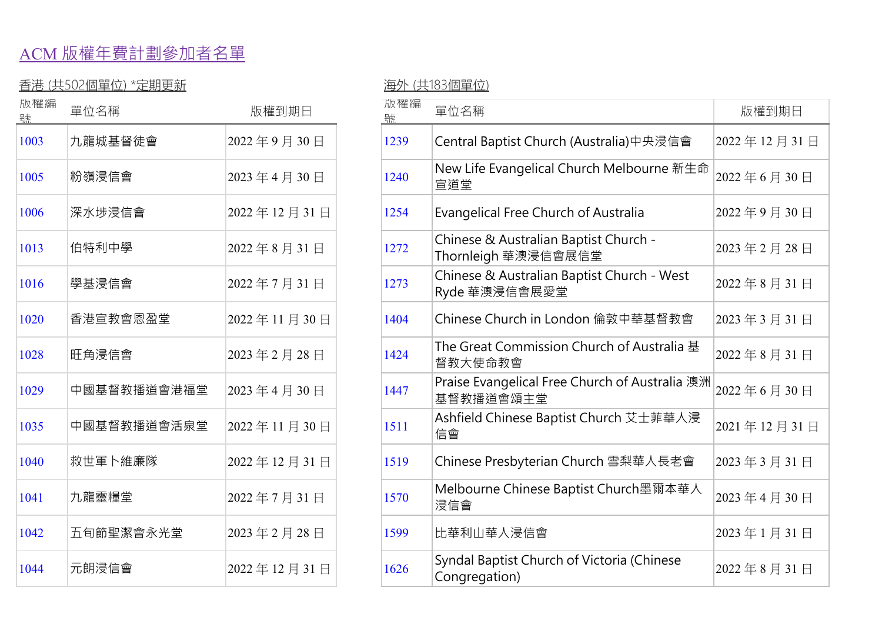## ACM 版權年費計劃參加者名單

## 香港 (共502個單位) \*定期更新 インファイン インスティック 海外 (共183個單位)

| 放罹編<br>號 | 單位名稱        | 版權到期日       | 放罹編<br>號 | 單位名稱                                                         |
|----------|-------------|-------------|----------|--------------------------------------------------------------|
| 1003     | 九龍城基督徒會     | 2022年9月30日  | 1239     | Central Baptist Church (Australia)中央浸信會                      |
| 1005     | 粉嶺浸信會       | 2023年4月30日  | 1240     | New Life Evangelical Church Melbourne 新生<br>宣道堂              |
| 1006     | 深水埗浸信會      | 2022年12月31日 | 1254     | Evangelical Free Church of Australia                         |
| 1013     | 伯特利中學       | 2022年8月31日  | 1272     | Chinese & Australian Baptist Church -<br>Thornleigh 華澳浸信會展信堂 |
| 1016     | 學基浸信會       | 2022年7月31日  | 1273     | Chinese & Australian Baptist Church - West<br>Ryde 華澳浸信會展愛堂  |
| 1020     | 香港宣教會恩盈堂    | 2022年11月30日 | 1404     | Chinese Church in London 倫敦中華基督教會                            |
| 1028     | 旺角浸信會       | 2023年2月28日  | 1424     | The Great Commission Church of Australia 基<br>督教大使命教會        |
| 1029     | 中國基督教播道會港福堂 | 2023年4月30日  | 1447     | Praise Evangelical Free Church of Australia 澳<br>基督教播道會頌主堂   |
| 1035     | 中國基督教播道會活泉堂 | 2022年11月30日 | 1511     | Ashfield Chinese Baptist Church 艾士菲華人浸<br>信會                 |
| 1040     | 救世軍卜維廉隊     | 2022年12月31日 | 1519     | Chinese Presbyterian Church 雪梨華人長老會                          |
| 1041     | 九龍靈糧堂       | 2022年7月31日  | 1570     | Melbourne Chinese Baptist Church墨爾本華人<br>浸信會                 |
| 1042     | 五旬節聖潔會永光堂   | 2023年2月28日  | 1599     | 比華利山華人浸信會                                                    |
| 1044     | 元朗浸信會       | 2022年12月31日 | 1626     | Syndal Baptist Church of Victoria (Chinese<br>Congregation)  |

| 版罹編<br>號 | 單位名稱        | 版權到期日       | 放罹編<br>导点 | 單位名稱                                                         | 版權到期日       |
|----------|-------------|-------------|-----------|--------------------------------------------------------------|-------------|
| 1003     | 九龍城基督徒會     | 2022年9月30日  | 1239      | Central Baptist Church (Australia)中央浸信會                      | 2022年12月31日 |
| 1005     | 粉嶺浸信會       | 2023年4月30日  | 1240      | New Life Evangelical Church Melbourne 新生命<br>宣道堂             | 2022年6月30日  |
| 1006     | 深水埗浸信會      | 2022年12月31日 | 1254      | Evangelical Free Church of Australia                         | 2022年9月30日  |
| 1013     | 伯特利中學       | 2022年8月31日  | 1272      | Chinese & Australian Baptist Church -<br>Thornleigh 華澳浸信會展信堂 | 2023年2月28日  |
| 1016     | 學基浸信會       | 2022年7月31日  | 1273      | Chinese & Australian Baptist Church - West<br>Ryde 華澳浸信會展愛堂  | 2022年8月31日  |
| 1020     | 香港宣教會恩盈堂    | 2022年11月30日 | 1404      | Chinese Church in London 倫敦中華基督教會                            | 2023年3月31日  |
| 1028     | 旺角浸信會       | 2023年2月28日  | 1424      | The Great Commission Church of Australia 基<br>督教大使命教會        | 2022年8月31日  |
| 1029     | 中國基督教播道會港福堂 | 2023年4月30日  | 1447      | Praise Evangelical Free Church of Australia 澳洲<br>基督教播道會頌主堂  | 2022年6月30日  |
| 1035     | 中國基督教播道會活泉堂 | 2022年11月30日 | 1511      | Ashfield Chinese Baptist Church 艾士菲華人浸<br>信會                 | 2021年12月31日 |
| 1040     | 救世軍卜維廉隊     | 2022年12月31日 | 1519      | Chinese Presbyterian Church 雪梨華人長老會                          | 2023年3月31日  |
| 1041     | 九龍靈糧堂       | 2022年7月31日  | 1570      | Melbourne Chinese Baptist Church墨爾本華人<br>浸信會                 | 2023年4月30日  |
| 1042     | 五旬節聖潔會永光堂   | 2023年2月28日  | 1599      | 比華利山華人浸信會                                                    | 2023年1月31日  |
| 1044     | 元朗浸信會       | 2022年12月31日 | 1626      | Syndal Baptist Church of Victoria (Chinese<br>Congregation)  | 2022年8月31日  |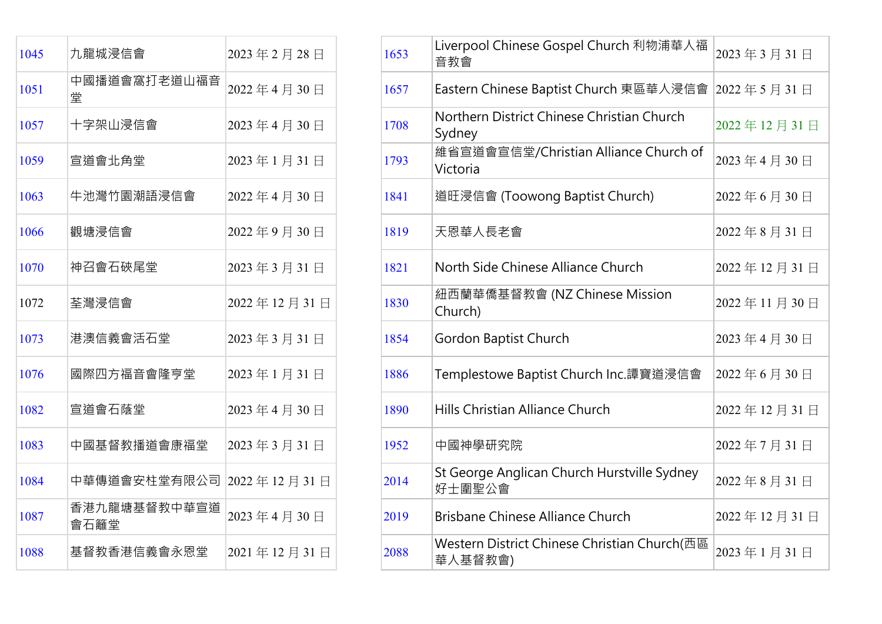| 1045 | 九龍城浸信會                          | 2023年2月28日  | 1653 | Liverpool Chinese Gospel Church 利物浦華人福<br>音教會           |
|------|---------------------------------|-------------|------|---------------------------------------------------------|
| 1051 | 中國播道會窩打老道山福音<br>堂               | 2022年4月30日  | 1657 | Eastern Chinese Baptist Church 東區華人浸信會                  |
| 1057 | 十字架山浸信會                         | 2023年4月30日  | 1708 | Northern District Chinese Christian Church<br>Sydney    |
| 1059 | 宣道會北角堂                          | 2023年1月31日  | 1793 | 維省宣道會宣信堂/Christian Alliance Church of<br>Victoria       |
| 1063 | 牛池灣竹園潮語浸信會                      | 2022年4月30日  | 1841 | 道旺浸信會 (Toowong Baptist Church)                          |
| 1066 | 觀塘浸信會                           | 2022年9月30日  | 1819 | 天恩華人長老會                                                 |
| 1070 | 神召會石硤尾堂                         | 2023年3月31日  | 1821 | North Side Chinese Alliance Church                      |
| 1072 | 荃灣浸信會                           | 2022年12月31日 | 1830 | 紐西蘭華僑基督教會 (NZ Chinese Mission<br>Church)                |
| 1073 | 港澳信義會活石堂                        | 2023年3月31日  | 1854 | Gordon Baptist Church                                   |
| 1076 | 國際四方福音會隆亨堂                      | 2023年1月31日  | 1886 | Templestowe Baptist Church Inc.譚寶道浸信會                   |
| 1082 | 宣道會石蔭堂                          | 2023年4月30日  | 1890 | Hills Christian Alliance Church                         |
| 1083 | 中國基督教播道會康福堂                     | 2023年3月31日  | 1952 | 中國神學研究院                                                 |
| 1084 | 中華傳道會安柱堂有限公司   2022 年 12 月 31 日 |             | 2014 | St George Anglican Church Hurstville Sydney<br>好士圍聖公會   |
| 1087 | 香港九龍塘基督教中華宣道<br>會石籬堂            | 2023年4月30日  | 2019 | <b>Brisbane Chinese Alliance Church</b>                 |
| 1088 | 基督教香港信義會永恩堂                     | 2021年12月31日 | 2088 | Western District Chinese Christian Church(西區<br>華人基督教會) |

| 1045 | 九龍城浸信會                         | 2023年2月28日  | 1653 | Liverpool Chinese Gospel Church 利物浦華人福<br>音教會           | 2023年3月31日  |
|------|--------------------------------|-------------|------|---------------------------------------------------------|-------------|
| 1051 | 中國播道會窩打老道山福音<br>堂              | 2022年4月30日  | 1657 | Eastern Chinese Baptist Church 東區華人浸信會                  | 2022年5月31日  |
| 1057 | 十字架山浸信會                        | 2023年4月30日  | 1708 | Northern District Chinese Christian Church<br>Sydney    | 2022年12月31日 |
| 1059 | 宣道會北角堂                         | 2023年1月31日  | 1793 | 維省宣道會宣信堂/Christian Alliance Church of<br>Victoria       | 2023年4月30日  |
| 1063 | 牛池灣竹園潮語浸信會                     | 2022年4月30日  | 1841 | 道旺浸信會 (Toowong Baptist Church)                          | 2022年6月30日  |
| 1066 | 觀塘浸信會                          | 2022年9月30日  | 1819 | 天恩華人長老會                                                 | 2022年8月31日  |
| 1070 | 神召會石硤尾堂                        | 2023年3月31日  | 1821 | North Side Chinese Alliance Church                      | 2022年12月31日 |
| 1072 | 荃灣浸信會                          | 2022年12月31日 | 1830 | 紐西蘭華僑基督教會 (NZ Chinese Mission<br>Church)                | 2022年11月30日 |
| 1073 | 港澳信義會活石堂                       | 2023年3月31日  | 1854 | Gordon Baptist Church                                   | 2023年4月30日  |
| 1076 | 國際四方福音會隆亨堂                     | 2023年1月31日  | 1886 | Templestowe Baptist Church Inc.譚寶道浸信會                   | 2022年6月30日  |
| 1082 | 宣道會石蔭堂                         | 2023年4月30日  | 1890 | Hills Christian Alliance Church                         | 2022年12月31日 |
| 1083 | 中國基督教播道會康福堂                    | 2023年3月31日  | 1952 | 中國神學研究院                                                 | 2022年7月31日  |
| 1084 | 中華傳道會安柱堂有限公司  2022 年 12 月 31 日 |             | 2014 | St George Anglican Church Hurstville Sydney<br>好士圍聖公會   | 2022年8月31日  |
| 1087 | 香港九龍塘基督教中華宣道<br>會石籬堂           | 2023年4月30日  | 2019 | <b>Brisbane Chinese Alliance Church</b>                 | 2022年12月31日 |
| 1088 | 基督教香港信義會永恩堂                    | 2021年12月31日 | 2088 | Western District Chinese Christian Church(西區<br>華人基督教會) | 2023年1月31日  |
|      |                                |             |      |                                                         |             |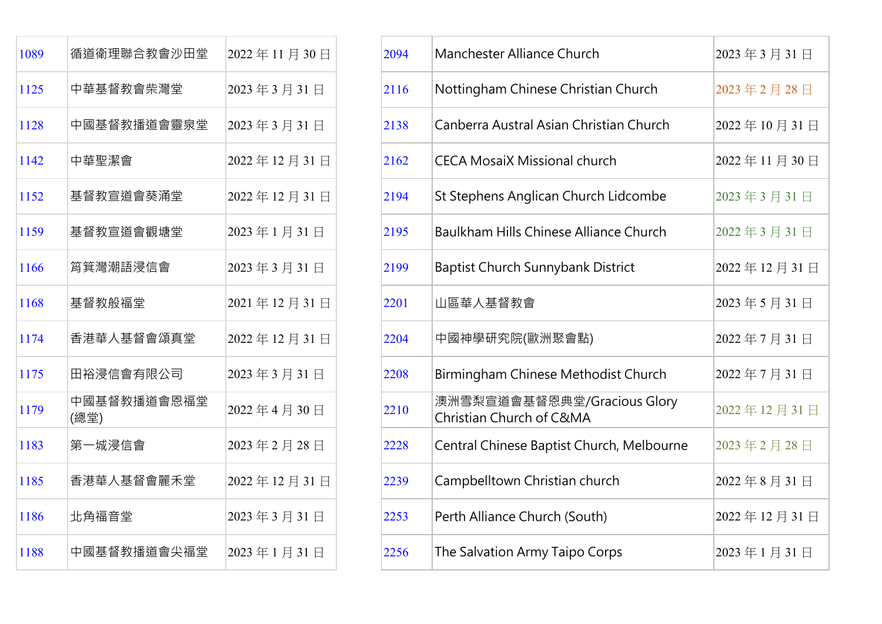| 1089 | 循道衛理聯合教會沙田堂         | 2022年11月30日 |
|------|---------------------|-------------|
| 1125 | 中華基督教會柴灣堂           | 2023年3月31日  |
| 1128 | 中國基督教播道會靈泉堂         | 2023年3月31日  |
| 1142 | 中華聖潔會               | 2022年12月31日 |
| 1152 | 基督教宣道會葵涌堂           | 2022年12月31日 |
| 1159 | 基督教宣道會觀塘堂           | 2023年1月31日  |
| 1166 | 筲箕灣潮語浸信會            | 2023年3月31日  |
| 1168 | 基督教般福堂              | 2021年12月31日 |
| 1174 | 香港華人基督會頌真堂          | 2022年12月31日 |
| 1175 | 田裕浸信會有限公司           | 2023年3月31日  |
| 1179 | 中國基督教播道會恩福堂<br>(總堂) | 2022年4月30日  |
| 1183 | 第一城浸信會              | 2023年2月28日  |
| 1185 | 香港華人基督會麗禾堂          | 2022年12月31日 |
| 1186 | 北角福音堂               | 2023年3月31日  |
| 1188 | 中國基督教播道會尖福堂         | 2023年1月31日  |

| 1089 | 循道衛理聯合教會沙田堂         | 2022年11月30日 | 2094 | Manchester Alliance Church                              | 2023年3月31日  |
|------|---------------------|-------------|------|---------------------------------------------------------|-------------|
| 1125 | 中華基督教會柴灣堂           | 2023年3月31日  | 2116 | Nottingham Chinese Christian Church                     | 2023年2月28日  |
| 1128 | 中國基督教播道會靈泉堂         | 2023年3月31日  | 2138 | Canberra Austral Asian Christian Church                 | 2022年10月31日 |
| 1142 | 中華聖潔會               | 2022年12月31日 | 2162 | <b>CECA MosaiX Missional church</b>                     | 2022年11月30日 |
| 1152 | 基督教宣道會葵涌堂           | 2022年12月31日 | 2194 | St Stephens Anglican Church Lidcombe                    | 2023年3月31日  |
| 1159 | 基督教宣道會觀塘堂           | 2023年1月31日  | 2195 | <b>Baulkham Hills Chinese Alliance Church</b>           | 2022年3月31日  |
| 1166 | 筲箕灣潮語浸信會            | 2023年3月31日  | 2199 | Baptist Church Sunnybank District                       | 2022年12月31日 |
| 1168 | 基督教般福堂              | 2021年12月31日 | 2201 | 山區華人基督教會                                                | 2023年5月31日  |
| 1174 | 香港華人基督會頌真堂          | 2022年12月31日 | 2204 | 中國神學研究院(歐洲聚會點)                                          | 2022年7月31日  |
| 1175 | 田裕浸信會有限公司           | 2023年3月31日  | 2208 | Birmingham Chinese Methodist Church                     | 2022年7月31日  |
| 1179 | 中國基督教播道會恩福堂<br>(總堂) | 2022年4月30日  | 2210 | 澳洲雪梨宣道會基督恩典堂/Gracious Glory<br>Christian Church of C&MA | 2022年12月31日 |
| 1183 | 第一城浸信會              | 2023年2月28日  | 2228 | Central Chinese Baptist Church, Melbourne               | 2023年2月28日  |
| 1185 | 香港華人基督會麗禾堂          | 2022年12月31日 | 2239 | Campbelltown Christian church                           | 2022年8月31日  |
| 1186 | 北角福音堂               | 2023年3月31日  | 2253 | Perth Alliance Church (South)                           | 2022年12月31日 |
| 1188 | 中國基督教播道會尖福堂         | 2023年1月31日  | 2256 | The Salvation Army Taipo Corps                          | 2023年1月31日  |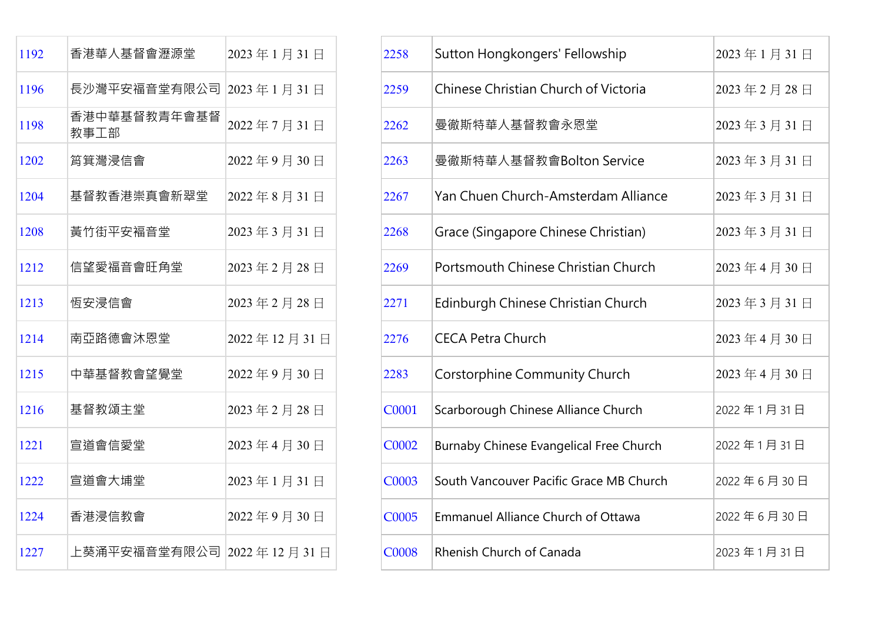| 1192 | 香港華人基督會瀝源堂               | 2023年1月31日  |
|------|--------------------------|-------------|
| 1196 | 長沙灣平安福音堂有限公司             | 2023年1月31日  |
| 1198 | 香港中華基督教青年會基督<br>教事工部     | 2022年7月31日  |
| 1202 | 筲箕灣浸信會                   | 2022年9月30日  |
| 1204 | 基督教香港崇真會新翠堂              | 2022年8月31日  |
| 1208 | 黃竹街平安褔音堂                 | 2023年3月31日  |
| 1212 | 信望愛福音會肝角堂                | 2023年2月28日  |
| 1213 | 恆安浸信會                    | 2023年2月28日  |
| 1214 | 南亞路德會沐恩堂                 | 2022年12月31日 |
| 1215 | 中華基督教會望覺堂                | 2022年9月30日  |
| 1216 | 基督教頌主堂                   | 2023年2月28日  |
| 1221 | 宣道會信愛堂                   | 2023年4月30日  |
| 1222 | 宣道會大埔堂                   | 2023年1月31日  |
| 1224 | 香港浸信教會                   | 2022年9月30日  |
| 1227 | 上葵涌平安福音堂有限公司 2022年12月31日 |             |

| 1192 | 香港華人基督會瀝源堂                     | 2023年1月31日  | 2258         | Sutton Hongkongers' Fellowship            | 2023年1月31日         |
|------|--------------------------------|-------------|--------------|-------------------------------------------|--------------------|
| 1196 | 長沙灣平安福音堂有限公司 2023年1月31日        |             | 2259         | Chinese Christian Church of Victoria      | 2023年2月28日         |
| 1198 | 香港中華基督教青年會基督<br>教事工部           | 2022年7月31日  | 2262         | 曼徹斯特華人基督教會永恩堂                             | 2023年3月31日         |
| 1202 | 筲箕灣浸信會                         | 2022年9月30日  | 2263         | 曼徹斯特華人基督教會Bolton Service                  | 2023年3月31日         |
| 1204 | 基督教香港崇真會新翠堂                    | 2022年8月31日  | 2267         | Yan Chuen Church-Amsterdam Alliance       | 2023年3月31日         |
| 1208 | 黃竹街平安褔音堂                       | 2023年3月31日  | 2268         | Grace (Singapore Chinese Christian)       | 2023年3月31日         |
| 1212 | 信望愛福音會旺角堂                      | 2023年2月28日  | 2269         | Portsmouth Chinese Christian Church       | 2023年4月30日         |
| 1213 | 恆安浸信會                          | 2023年2月28日  | 2271         | Edinburgh Chinese Christian Church        | 2023年3月31日         |
| 1214 | 南亞路德會沐恩堂                       | 2022年12月31日 | 2276         | <b>CECA Petra Church</b>                  | $ 2023$ 年 4 月 30 日 |
| 1215 | 中華基督教會望覺堂                      | 2022年9月30日  | 2283         | Corstorphine Community Church             | 2023年4月30日         |
| 1216 | 基督教頌主堂                         | 2023年2月28日  | C0001        | Scarborough Chinese Alliance Church       | 2022年1月31日         |
| 1221 | 宣道會信愛堂                         | 2023年4月30日  | <b>C0002</b> | Burnaby Chinese Evangelical Free Church   | 2022年1月31日         |
| 1222 | 宣道會大埔堂                         | 2023年1月31日  | <b>C0003</b> | South Vancouver Pacific Grace MB Church   | 2022年6月30日         |
| 1224 | 香港浸信教會                         | 2022年9月30日  | C0005        | <b>Emmanuel Alliance Church of Ottawa</b> | 2022年6月30日         |
| 1227 | 上葵涌平安福音堂有限公司  2022 年 12 月 31 日 |             | <b>C0008</b> | <b>Rhenish Church of Canada</b>           | 2023年1月31日         |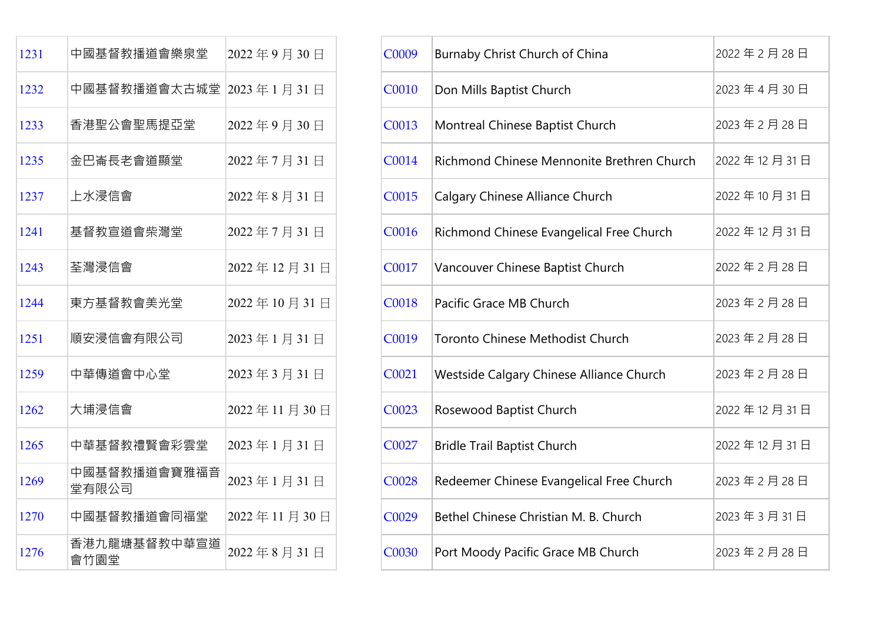| 1231 | 中國基督教播道會樂泉堂             | 2022年9月30日  |
|------|-------------------------|-------------|
| 1232 | 中國基督教播道會太古城堂 2023年1月31日 |             |
| 1233 | 香港聖公會聖馬提亞堂              | 2022年9月30日  |
| 1235 | 金巴崙長老會道顯堂               | 2022年7月31日  |
| 1237 | 上水浸信會                   | 2022年8月31日  |
| 1241 | 基督教宣道會柴灣堂               | 2022年7月31日  |
| 1243 | 荃灣浸信會                   | 2022年12月31日 |
| 1244 | 東方基督教會美光堂               | 2022年10月31日 |
| 1251 | 順安浸信會有限公司               | 2023年1月31日  |
| 1259 | 中華傳道會中心堂                | 2023年3月31日  |
| 1262 | 大埔浸信會                   | 2022年11月30日 |
| 1265 | 中華基督教禮賢會彩雲堂             | 2023年1月31日  |
| 1269 | 中國基督教播道會寶雅福音<br>堂有限公司   | 2023年1月31日  |
| 1270 | 中國基督教播道會同福堂             | 2022年11月30日 |
| 1276 | 香港九龍塘基督教中華宣道<br>會竹園堂    | 2022年8月31日  |

| 1231 | 中國基督教播道會樂泉堂             | 2022年9月30日  | C0009        | Burnaby Christ Church of China             | 2022年2月28日  |
|------|-------------------------|-------------|--------------|--------------------------------------------|-------------|
| 1232 | 中國基督教播道會太古城堂 2023年1月31日 |             | <b>C0010</b> | Don Mills Baptist Church                   | 2023年4月30日  |
| 1233 | 香港聖公會聖馬提亞堂              | 2022年9月30日  | C0013        | Montreal Chinese Baptist Church            | 2023年2月28日  |
| 1235 | 金巴崙長老會道顯堂               | 2022年7月31日  | C0014        | Richmond Chinese Mennonite Brethren Church | 2022年12月31日 |
| 1237 | 上水浸信會                   | 2022年8月31日  | C0015        | Calgary Chinese Alliance Church            | 2022年10月31日 |
| 1241 | 基督教宣道會柴灣堂               | 2022年7月31日  | C0016        | Richmond Chinese Evangelical Free Church   | 2022年12月31日 |
| 1243 | 荃灣浸信會                   | 2022年12月31日 | C0017        | Vancouver Chinese Baptist Church           | 2022年2月28日  |
| 1244 | 東方基督教會美光堂               | 2022年10月31日 | C0018        | Pacific Grace MB Church                    | 2023年2月28日  |
| 1251 | 順安浸信會有限公司               | 2023年1月31日  | C0019        | Toronto Chinese Methodist Church           | 2023年2月28日  |
| 1259 | 中華傳道會中心堂                | 2023年3月31日  | C0021        | Westside Calgary Chinese Alliance Church   | 2023年2月28日  |
| 1262 | 大埔浸信會                   | 2022年11月30日 | C0023        | Rosewood Baptist Church                    | 2022年12月31日 |
| 1265 | 中華基督教禮賢會彩雲堂             | 2023年1月31日  | C0027        | <b>Bridle Trail Baptist Church</b>         | 2022年12月31日 |
| 1269 | 中國基督教播道會寶雅福音<br>堂有限公司   | 2023年1月31日  | C0028        | Redeemer Chinese Evangelical Free Church   | 2023年2月28日  |
| 1270 | 中國基督教播道會同福堂             | 2022年11月30日 | C0029        | Bethel Chinese Christian M. B. Church      | 2023年3月31日  |
| 1276 | 香港九龍塘基督教中華宣道<br>會竹園堂    | 2022年8月31日  | C0030        | Port Moody Pacific Grace MB Church         | 2023年2月28日  |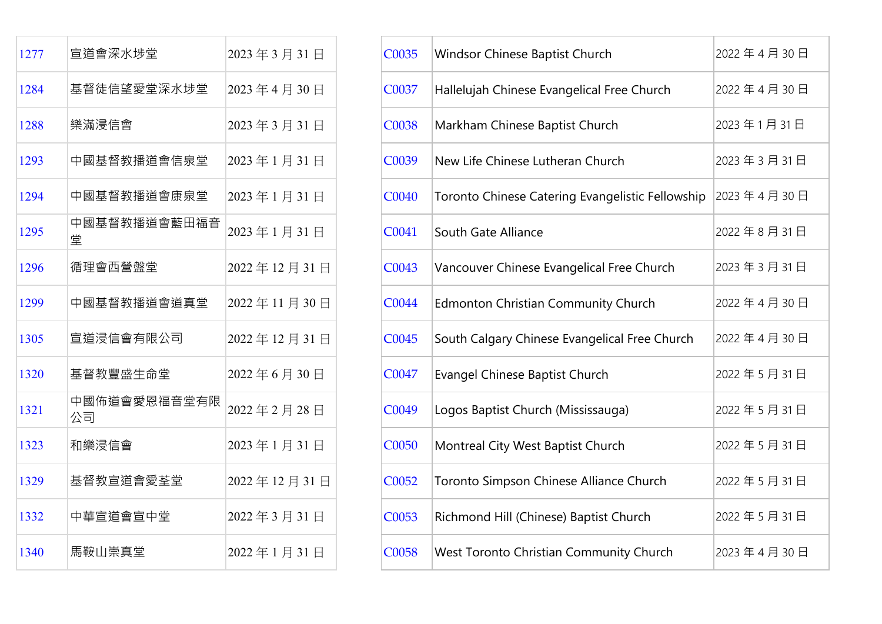| 1277 | 宣道會深水埗堂            | 2023年3月31日  |
|------|--------------------|-------------|
| 1284 | 基督徒信望愛堂深水埗堂        | 2023年4月30日  |
| 1288 | 樂滿浸信會              | 2023年3月31日  |
| 1293 | 中國基督教播道會信泉堂        | 2023年1月31日  |
| 1294 | 中國基督教播道會康泉堂        | 2023年1月31日  |
| 1295 | 中國基督教播道會藍田福音<br>堂  | 2023年1月31日  |
| 1296 | 循理會西營盤堂            | 2022年12月31日 |
| 1299 | 中國基督教播道會道真堂        | 2022年11月30日 |
| 1305 | 宣道浸信會有限公司          | 2022年12月31日 |
| 1320 | 基督教豐盛生命堂           | 2022年6月30日  |
| 1321 | 中國佈道會愛恩福音堂有限<br>公司 | 2022年2月28日  |
| 1323 | 和樂浸信會              | 2023年1月31日  |
| 1329 | 基督教宣道會愛荃堂          | 2022年12月31日 |
| 1332 | 中華宣道會宣中堂           | 2022年3月31日  |
| 1340 | 馬鞍山崇真堂             | 2022年1月31日  |

| 1277 | 宣道會深水埗堂            | 2023年3月31日  | C0035 | Windsor Chinese Baptist Church                   | 2022年4月30日 |
|------|--------------------|-------------|-------|--------------------------------------------------|------------|
| 1284 | 基督徒信望愛堂深水埗堂        | 2023年4月30日  | C0037 | Hallelujah Chinese Evangelical Free Church       | 2022年4月30日 |
| 1288 | 樂滿浸信會              | 2023年3月31日  | C0038 | Markham Chinese Baptist Church                   | 2023年1月31日 |
| 1293 | 中國基督教播道會信泉堂        | 2023年1月31日  | C0039 | New Life Chinese Lutheran Church                 | 2023年3月31日 |
| 1294 | 中國基督教播道會康泉堂        | 2023年1月31日  | C0040 | Toronto Chinese Catering Evangelistic Fellowship | 2023年4月30日 |
| 1295 | 中國基督教播道會藍田福音<br>堂  | 2023年1月31日  | C0041 | South Gate Alliance                              | 2022年8月31日 |
| 1296 | 循理會西營盤堂            | 2022年12月31日 | C0043 | Vancouver Chinese Evangelical Free Church        | 2023年3月31日 |
| 1299 | 中國基督教播道會道真堂        | 2022年11月30日 | C0044 | <b>Edmonton Christian Community Church</b>       | 2022年4月30日 |
| 1305 | 宣道浸信會有限公司          | 2022年12月31日 | C0045 | South Calgary Chinese Evangelical Free Church    | 2022年4月30日 |
| 1320 | 基督教豐盛生命堂           | 2022年6月30日  | C0047 | <b>Evangel Chinese Baptist Church</b>            | 2022年5月31日 |
| 1321 | 中國佈道會愛恩福音堂有限<br>公司 | 2022年2月28日  | C0049 | Logos Baptist Church (Mississauga)               | 2022年5月31日 |
| 1323 | 和樂浸信會              | 2023年1月31日  | C0050 | Montreal City West Baptist Church                | 2022年5月31日 |
| 1329 | 基督教宣道會愛荃堂          | 2022年12月31日 | C0052 | Toronto Simpson Chinese Alliance Church          | 2022年5月31日 |
| 1332 | 中華宣道會宣中堂           | 2022年3月31日  | C0053 | Richmond Hill (Chinese) Baptist Church           | 2022年5月31日 |
| 1340 | 馬鞍山崇真堂             | 2022年1月31日  | C0058 | West Toronto Christian Community Church          | 2023年4月30日 |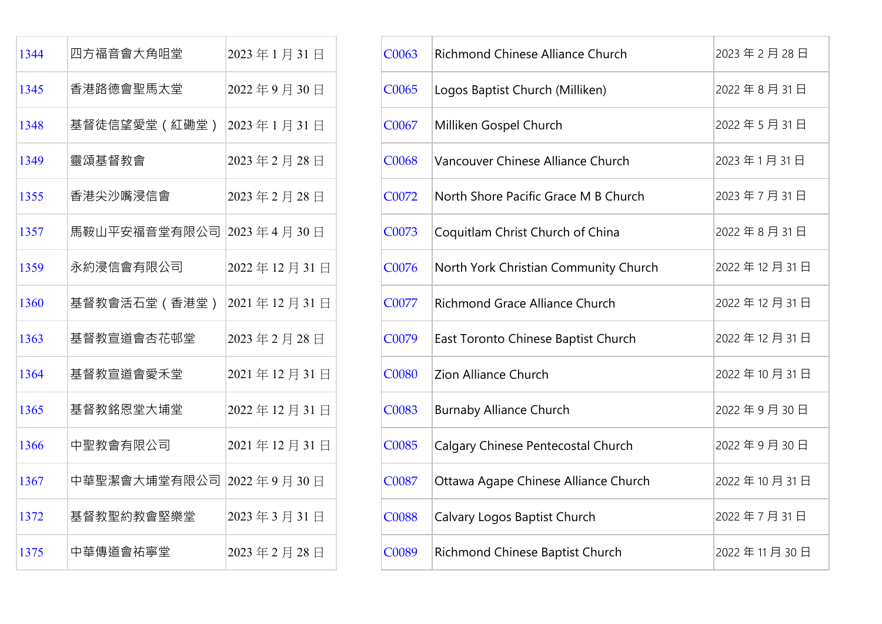| 1344 | 四方福音會大角咀堂     | 2023年1月31日  |
|------|---------------|-------------|
| 1345 | 香港路德會聖馬太堂     | 2022年9月30日  |
| 1348 | 基督徒信望愛堂(紅磡堂)  | 2023年1月31日  |
| 1349 | 靈頌基督教會        | 2023年2月28日  |
| 1355 | 香港尖沙嘴浸信會      | 2023年2月28日  |
| 1357 | 馬鞍山平安福音堂有限公司  | 2023年4月30日  |
| 1359 | 永約浸信會有限公司     | 2022年12月31日 |
| 1360 | 基督教會活石堂 (香港堂) | 2021年12月31日 |
| 1363 | 基督教宣道會杏花邨堂    | 2023年2月28日  |
| 1364 | 基督教宣道會愛禾堂     | 2021年12月31日 |
| 1365 | 基督教銘恩堂大埔堂     | 2022年12月31日 |
| 1366 | 中聖教會有限公司      | 2021年12月31日 |
| 1367 | 中華聖潔會大埔堂有限公司  | 2022年9月30日  |
| 1372 | 基督教聖約教會堅樂堂    | 2023年3月31日  |
| 1375 | 中華傳道會祐寧堂      | 2023年2月28日  |

| 四方福音會大角咀堂     | 2023年1月31日  | C0063                                                              | Richmond Chinese Alliance Church      | 2023年2月28日  |
|---------------|-------------|--------------------------------------------------------------------|---------------------------------------|-------------|
| 香港路德會聖馬太堂     | 2022年9月30日  | C0065                                                              | Logos Baptist Church (Milliken)       | 2022年8月31日  |
| 基督徒信望愛堂 (紅磡堂) |             | C0067                                                              | Milliken Gospel Church                | 2022年5月31日  |
| 靈頌基督教會        | 2023年2月28日  | <b>C0068</b>                                                       | Vancouver Chinese Alliance Church     | 2023年1月31日  |
| 香港尖沙嘴浸信會      | 2023年2月28日  | C0072                                                              | North Shore Pacific Grace M B Church  | 2023年7月31日  |
|               |             | C0073                                                              | Coquitlam Christ Church of China      | 2022年8月31日  |
| 永約浸信會有限公司     | 2022年12月31日 | C0076                                                              | North York Christian Community Church | 2022年12月31日 |
| 基督教會活石堂 (香港堂) |             | C0077                                                              | Richmond Grace Alliance Church        | 2022年12月31日 |
| 基督教宣道會杏花邨堂    | 2023年2月28日  | C0079                                                              | East Toronto Chinese Baptist Church   | 2022年12月31日 |
| 基督教宣道會愛禾堂     | 2021年12月31日 | <b>C0080</b>                                                       | Zion Alliance Church                  | 2022年10月31日 |
| 基督教銘恩堂大埔堂     | 2022年12月31日 | C0083                                                              | <b>Burnaby Alliance Church</b>        | 2022年9月30日  |
| 中聖教會有限公司      | 2021年12月31日 | C0085                                                              | Calgary Chinese Pentecostal Church    | 2022年9月30日  |
| 中華聖潔會大埔堂有限公司  |             | C0087                                                              | Ottawa Agape Chinese Alliance Church  | 2022年10月31日 |
| 基督教聖約教會堅樂堂    | 2023年3月31日  | <b>C0088</b>                                                       | Calvary Logos Baptist Church          | 2022年7月31日  |
| 中華傳道會祐寧堂      | 2023年2月28日  | C0089                                                              | Richmond Chinese Baptist Church       | 2022年11月30日 |
|               |             | 2023年1月31日<br>馬鞍山平安福音堂有限公司 2023年4月30日<br>2021年12月31日<br>2022年9月30日 |                                       |             |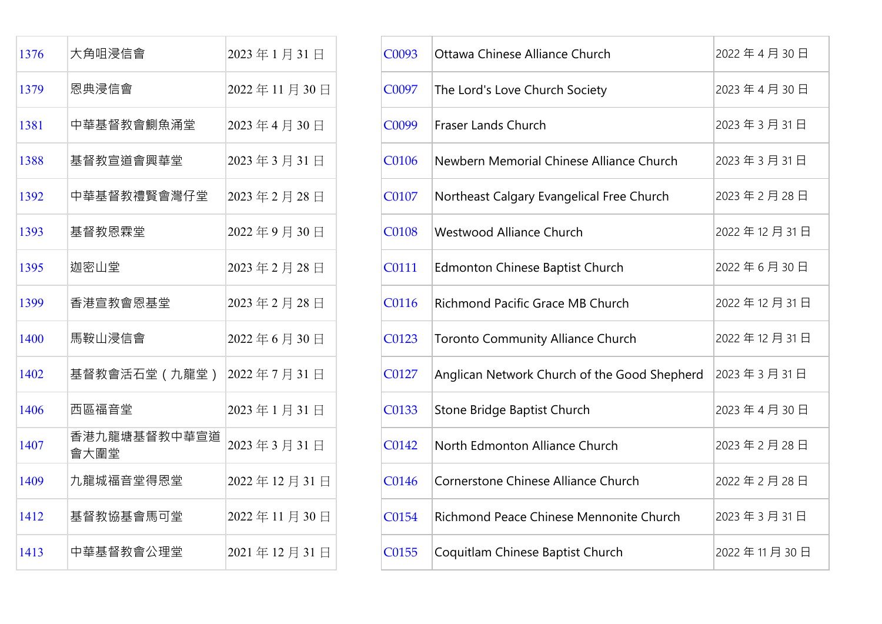| 1376 | 大角咀浸信會               | 2023年1月31日  |
|------|----------------------|-------------|
| 1379 | 恩典浸信會                | 2022年11月30日 |
| 1381 | 中華基督教會鰂魚涌堂           | 2023年4月30日  |
| 1388 | 基督教宣道會興華堂            | 2023年3月31日  |
| 1392 | 中華基督教禮賢會灣仔堂          | 2023年2月28日  |
| 1393 | 基督教恩霖堂               | 2022年9月30日  |
| 1395 | 迦密山堂                 | 2023年2月28日  |
| 1399 | 香港宣教會恩基堂             | 2023年2月28日  |
| 1400 | 馬鞍山浸信會               | 2022年6月30日  |
| 1402 | 基督教會活石堂(九龍堂)         | 2022年7月31日  |
| 1406 | 西區福音堂                | 2023年1月31日  |
| 1407 | 香港九龍塘基督教中華宣道<br>會大圍堂 | 2023年3月31日  |
| 1409 | 九龍城福音堂得恩堂            | 2022年12月31日 |
| 1412 | 基督教協基會馬可堂            | 2022年11月30日 |
| 1413 | 中華基督教會公理堂            | 2021年12月31日 |

| 1376 | 大角咀浸信會               | 2023年1月31日  | C0093        | Ottawa Chinese Alliance Church               | 2022年4月30日  |
|------|----------------------|-------------|--------------|----------------------------------------------|-------------|
| 1379 | 恩典浸信會                | 2022年11月30日 | C0097        | The Lord's Love Church Society               | 2023年4月30日  |
| 1381 | 中華基督教會鰂魚涌堂           | 2023年4月30日  | C0099        | <b>Fraser Lands Church</b>                   | 2023年3月31日  |
| 1388 | 基督教宣道會興華堂            | 2023年3月31日  | C0106        | Newbern Memorial Chinese Alliance Church     | 2023年3月31日  |
| 1392 | 中華基督教禮賢會灣仔堂          | 2023年2月28日  | C0107        | Northeast Calgary Evangelical Free Church    | 2023年2月28日  |
| 1393 | 基督教恩霖堂               | 2022年9月30日  | <b>C0108</b> | Westwood Alliance Church                     | 2022年12月31日 |
| 1395 | 迦密山堂                 | 2023年2月28日  | C0111        | Edmonton Chinese Baptist Church              | 2022年6月30日  |
| 1399 | 香港宣教會恩基堂             | 2023年2月28日  | C0116        | Richmond Pacific Grace MB Church             | 2022年12月31日 |
| 1400 | 馬鞍山浸信會               | 2022年6月30日  | C0123        | <b>Toronto Community Alliance Church</b>     | 2022年12月31日 |
| 1402 | 基督教會活石堂 (九龍堂)        | 2022年7月31日  | C0127        | Anglican Network Church of the Good Shepherd | 2023年3月31日  |
| 1406 | 西區福音堂                | 2023年1月31日  | C0133        | Stone Bridge Baptist Church                  | 2023年4月30日  |
| 1407 | 香港九龍塘基督教中華宣道<br>會大圍堂 | 2023年3月31日  | C0142        | North Edmonton Alliance Church               | 2023年2月28日  |
| 1409 | 九龍城福音堂得恩堂            | 2022年12月31日 | C0146        | Cornerstone Chinese Alliance Church          | 2022年2月28日  |
| 1412 | 基督教協基會馬可堂            | 2022年11月30日 | C0154        | Richmond Peace Chinese Mennonite Church      | 2023年3月31日  |
| 1413 | 中華基督教會公理堂            | 2021年12月31日 | C0155        | Coquitlam Chinese Baptist Church             | 2022年11月30日 |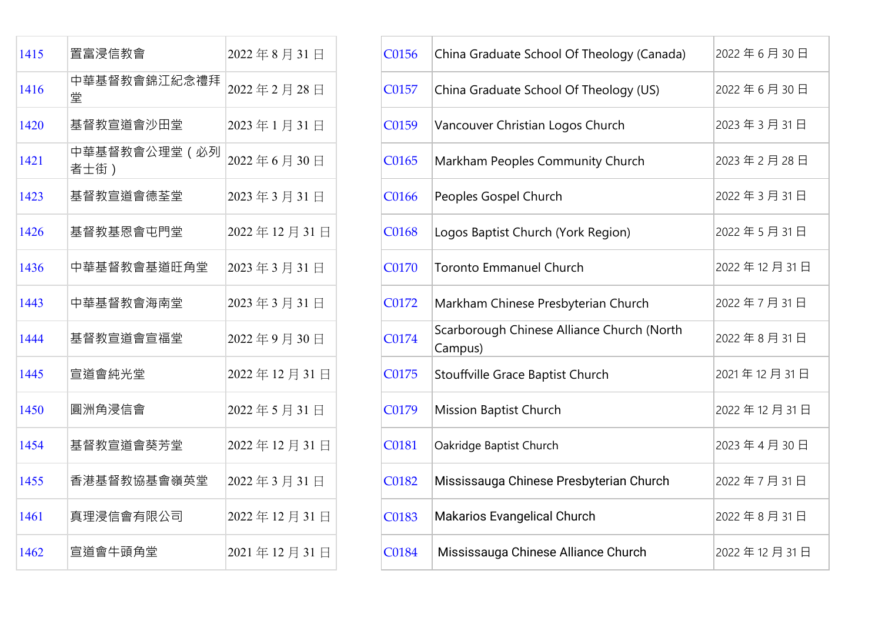| 1415 | 置富浸信教會                | 2022年8月31日  | C0156 | China Graduate School Of Theology (Canada             |
|------|-----------------------|-------------|-------|-------------------------------------------------------|
| 1416 | 中華基督教會錦江紀念禮拜<br>堂     | 2022年2月28日  | C0157 | China Graduate School Of Theology (US)                |
| 1420 | 基督教宣道會沙田堂             | 2023年1月31日  | C0159 | Vancouver Christian Logos Church                      |
| 1421 | 中華基督教會公理堂 (必列<br>者士街) | 2022年6月30日  | C0165 | Markham Peoples Community Church                      |
| 1423 | 基督教宣道會德荃堂             | 2023年3月31日  | C0166 | Peoples Gospel Church                                 |
| 1426 | 基督教基恩會屯門堂             | 2022年12月31日 | C0168 | Logos Baptist Church (York Region)                    |
| 1436 | 中華基督教會基道旺角堂           | 2023年3月31日  | C0170 | <b>Toronto Emmanuel Church</b>                        |
| 1443 | 中華基督教會海南堂             | 2023年3月31日  | C0172 | Markham Chinese Presbyterian Church                   |
| 1444 | 基督教宣道會宣福堂             | 2022年9月30日  | C0174 | Scarborough Chinese Alliance Church (North<br>Campus) |
| 1445 | 宣道會純光堂                | 2022年12月31日 | C0175 | Stouffville Grace Baptist Church                      |
| 1450 | 圓洲角浸信會                | 2022年5月31日  | C0179 | <b>Mission Baptist Church</b>                         |
| 1454 | 基督教宣道會葵芳堂             | 2022年12月31日 | C0181 | Oakridge Baptist Church                               |
| 1455 | 香港基督教協基會嶺英堂           | 2022年3月31日  | C0182 | Mississauga Chinese Presbyterian Church               |
| 1461 | 真理浸信會有限公司             | 2022年12月31日 | C0183 | <b>Makarios Evangelical Church</b>                    |
| 1462 | 宣道會牛頭角堂               | 2021年12月31日 | C0184 | Mississauga Chinese Alliance Church                   |

| 1415 | 置富浸信教會                | 2022年8月31日  | C0156 | China Graduate School Of Theology (Canada)            | 2022年6月30日  |
|------|-----------------------|-------------|-------|-------------------------------------------------------|-------------|
| 1416 | 中華基督教會錦江紀念禮拜<br>堂     | 2022年2月28日  | C0157 | China Graduate School Of Theology (US)                | 2022年6月30日  |
| 1420 | 基督教宣道會沙田堂             | 2023年1月31日  | C0159 | Vancouver Christian Logos Church                      | 2023年3月31日  |
| 1421 | 中華基督教會公理堂 (必列<br>者士街) | 2022年6月30日  | C0165 | Markham Peoples Community Church                      | 2023年2月28日  |
| 1423 | 基督教宣道會德荃堂             | 2023年3月31日  | C0166 | Peoples Gospel Church                                 | 2022年3月31日  |
| 1426 | 基督教基恩會屯門堂             | 2022年12月31日 | C0168 | Logos Baptist Church (York Region)                    | 2022年5月31日  |
| 1436 | 中華基督教會基道旺角堂           | 2023年3月31日  | C0170 | <b>Toronto Emmanuel Church</b>                        | 2022年12月31日 |
| 1443 | 中華基督教會海南堂             | 2023年3月31日  | C0172 | Markham Chinese Presbyterian Church                   | 2022年7月31日  |
| 1444 | 基督教宣道會宣福堂             | 2022年9月30日  | C0174 | Scarborough Chinese Alliance Church (North<br>Campus) | 2022年8月31日  |
| 1445 | 宣道會純光堂                | 2022年12月31日 | C0175 | Stouffville Grace Baptist Church                      | 2021年12月31日 |
| 1450 | 圓洲角浸信會                | 2022年5月31日  | C0179 | <b>Mission Baptist Church</b>                         | 2022年12月31日 |
| 1454 | 基督教宣道會葵芳堂             | 2022年12月31日 | C0181 | Oakridge Baptist Church                               | 2023年4月30日  |
| 1455 | 香港基督教協基會嶺英堂           | 2022年3月31日  | C0182 | Mississauga Chinese Presbyterian Church               | 2022年7月31日  |
| 1461 | 真理浸信會有限公司             | 2022年12月31日 | C0183 | Makarios Evangelical Church                           | 2022年8月31日  |
| 1462 | 宣道會牛頭角堂               | 2021年12月31日 | C0184 | Mississauga Chinese Alliance Church                   | 2022年12月31日 |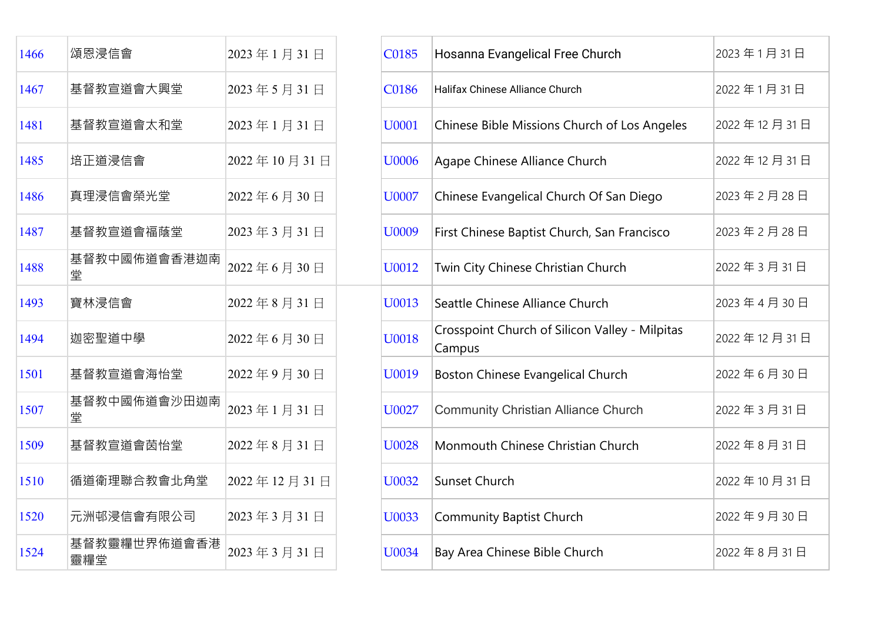| 1466 | 頌恩浸信會               | 2023年1月31日  | C0185        | Hosanna Evangelical Free Church                          |
|------|---------------------|-------------|--------------|----------------------------------------------------------|
| 1467 | 基督教宣道會大興堂           | 2023年5月31日  | C0186        | Halifax Chinese Alliance Church                          |
| 1481 | 基督教宣道會太和堂           | 2023年1月31日  | U0001        | Chinese Bible Missions Church of Los Angele              |
| 1485 | 培正道浸信會              | 2022年10月31日 | U0006        | Agape Chinese Alliance Church                            |
| 1486 | 真理浸信會榮光堂            | 2022年6月30日  | U0007        | Chinese Evangelical Church Of San Diego                  |
| 1487 | 基督教宣道會福蔭堂           | 2023年3月31日  | U0009        | First Chinese Baptist Church, San Francisco              |
| 1488 | 基督教中國佈道會香港迦南<br>堂   | 2022年6月30日  | U0012        | Twin City Chinese Christian Church                       |
| 1493 | 寶林浸信會               | 2022年8月31日  | U0013        | Seattle Chinese Alliance Church                          |
| 1494 | 迦密聖道中學              | 2022年6月30日  | U0018        | Crosspoint Church of Silicon Valley - Milpitas<br>Campus |
| 1501 | 基督教宣道會海怡堂           | 2022年9月30日  | U0019        | Boston Chinese Evangelical Church                        |
| 1507 | 基督教中國佈道會沙田迦南<br>堂   | 2023年1月31日  | U0027        | <b>Community Christian Alliance Church</b>               |
| 1509 | 基督教宣道會茵怡堂           | 2022年8月31日  | <b>U0028</b> | Monmouth Chinese Christian Church                        |
| 1510 | 循道衛理聯合教會北角堂         | 2022年12月31日 | U0032        | Sunset Church                                            |
| 1520 | 元洲邨浸信會有限公司          | 2023年3月31日  | U0033        | <b>Community Baptist Church</b>                          |
| 1524 | 基督教靈糧世界佈道會香港<br>靈糧堂 | 2023年3月31日  | U0034        | Bay Area Chinese Bible Church                            |

| 1466 | 頌恩浸信會               | 2023年1月31日  | C0185        | Hosanna Evangelical Free Church                          | 2023年1月31日  |
|------|---------------------|-------------|--------------|----------------------------------------------------------|-------------|
| 1467 | 基督教宣道會大興堂           | 2023年5月31日  | <b>C0186</b> | Halifax Chinese Alliance Church                          | 2022年1月31日  |
| 1481 | 基督教宣道會太和堂           | 2023年1月31日  | U0001        | Chinese Bible Missions Church of Los Angeles             | 2022年12月31日 |
| 1485 | 培正道浸信會              | 2022年10月31日 | U0006        | Agape Chinese Alliance Church                            | 2022年12月31日 |
| 1486 | 真理浸信會榮光堂            | 2022年6月30日  | <b>U0007</b> | Chinese Evangelical Church Of San Diego                  | 2023年2月28日  |
| 1487 | 基督教宣道會福蔭堂           | 2023年3月31日  | U0009        | First Chinese Baptist Church, San Francisco              | 2023年2月28日  |
| 1488 | 基督教中國佈道會香港迦南<br>堂   | 2022年6月30日  | U0012        | Twin City Chinese Christian Church                       | 2022年3月31日  |
| 1493 | 寶林浸信會               | 2022年8月31日  | U0013        | Seattle Chinese Alliance Church                          | 2023年4月30日  |
| 1494 | 迦密聖道中學              | 2022年6月30日  | U0018        | Crosspoint Church of Silicon Valley - Milpitas<br>Campus | 2022年12月31日 |
| 1501 | 基督教宣道會海怡堂           | 2022年9月30日  | U0019        | Boston Chinese Evangelical Church                        | 2022年6月30日  |
| 1507 | 基督教中國佈道會沙田迦南<br>堂   | 2023年1月31日  | U0027        | <b>Community Christian Alliance Church</b>               | 2022年3月31日  |
| 1509 | 基督教宣道會茵怡堂           | 2022年8月31日  | <b>U0028</b> | Monmouth Chinese Christian Church                        | 2022年8月31日  |
| 1510 | 循道衛理聯合教會北角堂         | 2022年12月31日 | U0032        | Sunset Church                                            | 2022年10月31日 |
| 1520 | 元洲邨浸信會有限公司          | 2023年3月31日  | U0033        | <b>Community Baptist Church</b>                          | 2022年9月30日  |
| 1524 | 基督教靈糧世界佈道會香港<br>靈糧堂 | 2023年3月31日  | U0034        | Bay Area Chinese Bible Church                            | 2022年8月31日  |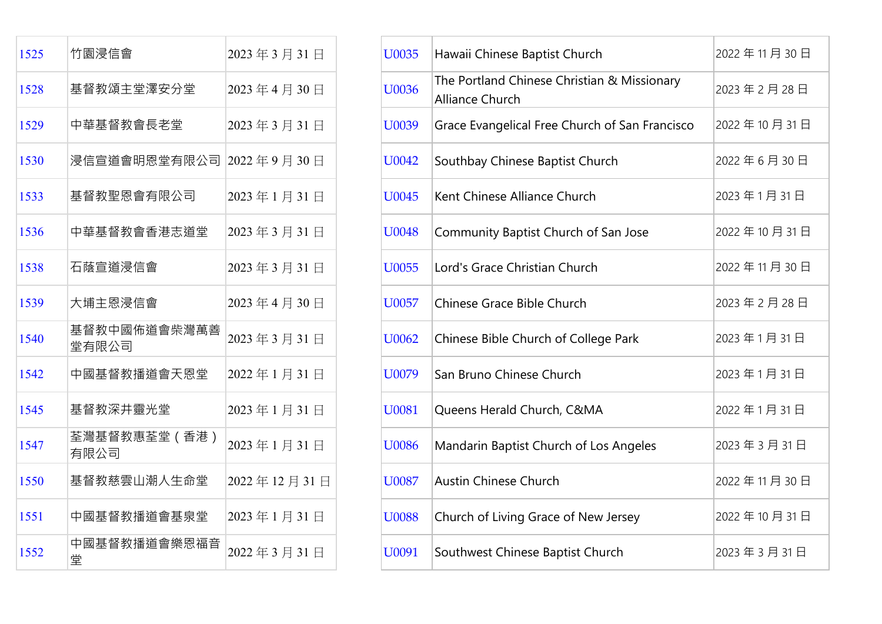| 1525 | 竹園浸信會                   | 2023年3月31日  | U0035        | Hawaii Chinese Baptist Church                                  |
|------|-------------------------|-------------|--------------|----------------------------------------------------------------|
| 1528 | 基督教頌主堂澤安分堂              | 2023年4月30日  | U0036        | The Portland Chinese Christian & Missionary<br>Alliance Church |
| 1529 | 中華基督教會長老堂               | 2023年3月31日  | U0039        | Grace Evangelical Free Church of San Francis                   |
| 1530 | 浸信宣道會明恩堂有限公司 2022年9月30日 |             | U0042        | Southbay Chinese Baptist Church                                |
| 1533 | 基督教聖恩會有限公司              | 2023年1月31日  | U0045        | Kent Chinese Alliance Church                                   |
| 1536 | 中華基督教會香港志道堂             | 2023年3月31日  | U0048        | Community Baptist Church of San Jose                           |
| 1538 | 石蔭宣道浸信會                 | 2023年3月31日  | U0055        | Lord's Grace Christian Church                                  |
| 1539 | 大埔主恩浸信會                 | 2023年4月30日  | U0057        | Chinese Grace Bible Church                                     |
| 1540 | 基督教中國佈道會柴灣萬善<br>堂有限公司   | 2023年3月31日  | U0062        | Chinese Bible Church of College Park                           |
| 1542 | 中國基督教播道會天恩堂             | 2022年1月31日  | U0079        | San Bruno Chinese Church                                       |
| 1545 | 基督教深井靈光堂                | 2023年1月31日  | U0081        | Queens Herald Church, C&MA                                     |
| 1547 | 荃灣基督教惠荃堂 (香港)<br>有限公司   | 2023年1月31日  | <b>U0086</b> | Mandarin Baptist Church of Los Angeles                         |
| 1550 | 基督教慈雲山潮人生命堂             | 2022年12月31日 | U0087        | <b>Austin Chinese Church</b>                                   |
| 1551 | 中國基督教播道會基泉堂             | 2023年1月31日  | <b>U0088</b> | Church of Living Grace of New Jersey                           |
| 1552 | 中國基督教播道會樂恩福音<br>堂       | 2022年3月31日  | U0091        | Southwest Chinese Baptist Church                               |

| 1525 | 竹園浸信會                   | 2023年3月31日  | U0035        | Hawaii Chinese Baptist Church                                         | 2022年11月30日 |
|------|-------------------------|-------------|--------------|-----------------------------------------------------------------------|-------------|
| 1528 | 基督教頌主堂澤安分堂              | 2023年4月30日  | U0036        | The Portland Chinese Christian & Missionary<br><b>Alliance Church</b> | 2023年2月28日  |
| 1529 | 中華基督教會長老堂               | 2023年3月31日  | U0039        | Grace Evangelical Free Church of San Francisco                        | 2022年10月31日 |
| 1530 | 浸信宣道會明恩堂有限公司 2022年9月30日 |             | U0042        | Southbay Chinese Baptist Church                                       | 2022年6月30日  |
| 1533 | 基督教聖恩會有限公司              | 2023年1月31日  | U0045        | Kent Chinese Alliance Church                                          | 2023年1月31日  |
| 1536 | 中華基督教會香港志道堂             | 2023年3月31日  | U0048        | Community Baptist Church of San Jose                                  | 2022年10月31日 |
| 1538 | 石蔭宣道浸信會                 | 2023年3月31日  | U0055        | Lord's Grace Christian Church                                         | 2022年11月30日 |
| 1539 | 大埔主恩浸信會                 | 2023年4月30日  | U0057        | Chinese Grace Bible Church                                            | 2023年2月28日  |
| 1540 | 基督教中國佈道會柴灣萬善<br>堂有限公司   | 2023年3月31日  | U0062        | Chinese Bible Church of College Park                                  | 2023年1月31日  |
| 1542 | 中國基督教播道會天恩堂             | 2022年1月31日  | U0079        | San Bruno Chinese Church                                              | 2023年1月31日  |
| 1545 | 基督教深井靈光堂                | 2023年1月31日  | U0081        | Queens Herald Church, C&MA                                            | 2022年1月31日  |
| 1547 | 荃灣基督教惠荃堂 (香港)<br>有限公司   | 2023年1月31日  | <b>U0086</b> | Mandarin Baptist Church of Los Angeles                                | 2023年3月31日  |
| 1550 | 基督教慈雲山潮人生命堂             | 2022年12月31日 | U0087        | <b>Austin Chinese Church</b>                                          | 2022年11月30日 |
| 1551 | 中國基督教播道會基泉堂             | 2023年1月31日  | <b>U0088</b> | Church of Living Grace of New Jersey                                  | 2022年10月31日 |
| 1552 | 中國基督教播道會樂恩福音<br>堂       | 2022年3月31日  | U0091        | Southwest Chinese Baptist Church                                      | 2023年3月31日  |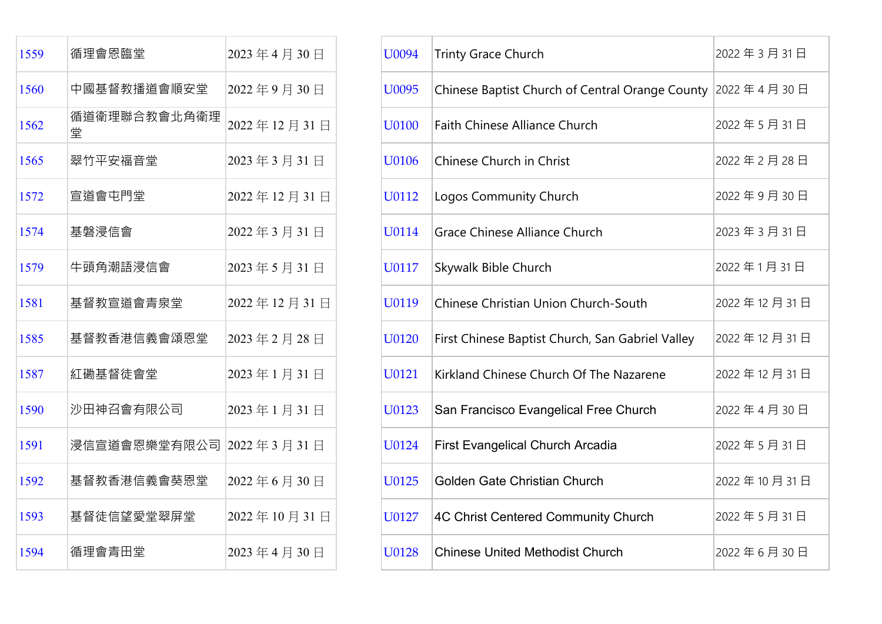| 1559 | 循理會恩臨堂                       | 2023年4月30日  |
|------|------------------------------|-------------|
| 1560 | 中國基督教播道會順安堂                  | 2022年9月30日  |
| 1562 | 循道衛理聯合教會北角衛理<br>堂            | 2022年12月31日 |
| 1565 | 翠竹平安福音堂                      | 2023年3月31日  |
| 1572 | 宣道會屯門堂                       | 2022年12月31日 |
| 1574 | 基磐浸信會                        | 2022年3月31日  |
| 1579 | 牛頭角潮語浸信會                     | 2023年5月31日  |
| 1581 | 基督教宣道會青泉堂                    | 2022年12月31日 |
| 1585 | 基督教香港信義會頌恩堂                  | 2023年2月28日  |
| 1587 | 紅磡基督徒會堂                      | 2023年1月31日  |
| 1590 | 沙田神召會有限公司                    | 2023年1月31日  |
| 1591 | 浸信宣道會恩樂堂有限公司 2022 年 3 月 31 日 |             |
| 1592 | 基督教香港信義會葵恩堂                  | 2022年6月30日  |
| 1593 | 基督徒信望愛堂翠屏堂                   | 2022年10月31日 |
| 1594 | 循理會青田堂                       | 2023年4月30日  |

| 1559 | 循理會恩臨堂            | 2023年4月30日  | U0094 | <b>Trinty Grace Church</b>                       | 2022年3月31日  |
|------|-------------------|-------------|-------|--------------------------------------------------|-------------|
| 1560 | 中國基督教播道會順安堂       | 2022年9月30日  | U0095 | Chinese Baptist Church of Central Orange County  | 2022年4月30日  |
| 1562 | 循道衛理聯合教會北角衛理<br>堂 | 2022年12月31日 | U0100 | Faith Chinese Alliance Church                    | 2022年5月31日  |
| 1565 | 翠竹平安福音堂           | 2023年3月31日  | U0106 | Chinese Church in Christ                         | 2022年2月28日  |
| 1572 | 宣道會屯門堂            | 2022年12月31日 | U0112 | Logos Community Church                           | 2022年9月30日  |
| 1574 | 基磐浸信會             | 2022年3月31日  | U0114 | Grace Chinese Alliance Church                    | 2023年3月31日  |
| 1579 | 牛頭角潮語浸信會          | 2023年5月31日  | U0117 | Skywalk Bible Church                             | 2022年1月31日  |
| 1581 | 基督教宣道會青泉堂         | 2022年12月31日 | U0119 | Chinese Christian Union Church-South             | 2022年12月31日 |
| 1585 | 基督教香港信義會頌恩堂       | 2023年2月28日  | U0120 | First Chinese Baptist Church, San Gabriel Valley | 2022年12月31日 |
| 1587 | 紅磡基督徒會堂           | 2023年1月31日  | U0121 | Kirkland Chinese Church Of The Nazarene          | 2022年12月31日 |
| 1590 | 沙田神召會有限公司         | 2023年1月31日  | U0123 | San Francisco Evangelical Free Church            | 2022年4月30日  |
| 1591 | 浸信宣道會恩樂堂有限公司      | 2022年3月31日  | U0124 | <b>First Evangelical Church Arcadia</b>          | 2022年5月31日  |
| 1592 | 基督教香港信義會葵恩堂       | 2022年6月30日  | U0125 | Golden Gate Christian Church                     | 2022年10月31日 |
| 1593 | 基督徒信望愛堂翠屏堂        | 2022年10月31日 | U0127 | 4C Christ Centered Community Church              | 2022年5月31日  |
| 1594 | 循理會青田堂            | 2023年4月30日  | U0128 | <b>Chinese United Methodist Church</b>           | 2022年6月30日  |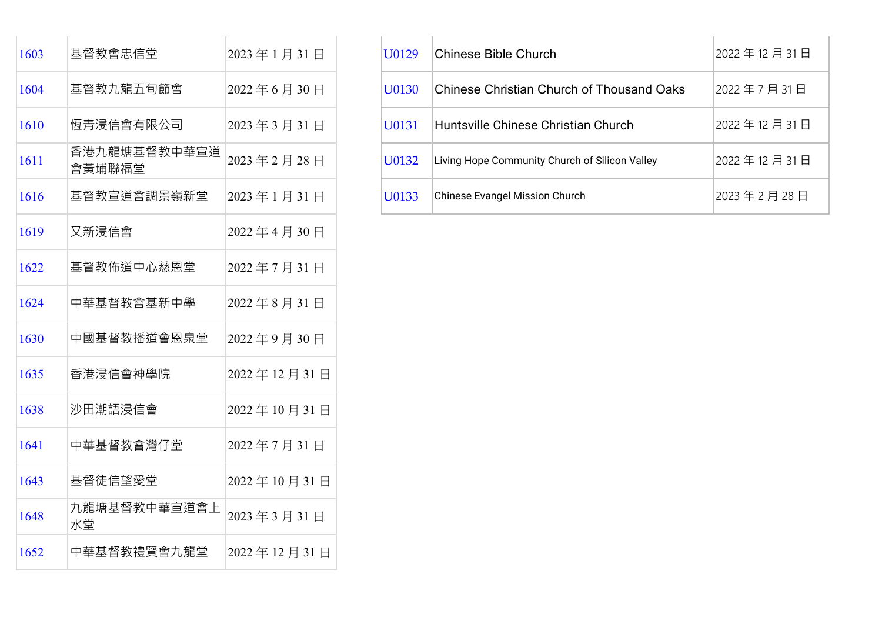| 1603 | 基督教會忠信堂                | 2023年1月31日  |
|------|------------------------|-------------|
| 1604 | 基督教九龍五旬節會              | 2022年6月30日  |
| 1610 | 恆青浸信會有限公司              | 2023年3月31日  |
| 1611 | 香港九龍塘基督教中華宣道<br>會黃埔聯福堂 | 2023年2月28日  |
| 1616 | 基督教宣道會調景嶺新堂            | 2023年1月31日  |
| 1619 | 又新浸信會                  | 2022年4月30日  |
| 1622 | 基督教佈道中心慈恩堂             | 2022年7月31日  |
| 1624 | 中華基督教會基新中學             | 2022年8月31日  |
| 1630 | 中國基督教播道會恩泉堂            | 2022年9月30日  |
| 1635 | 香港浸信會神學院               | 2022年12月31日 |
| 1638 | 沙田潮語浸信會                | 2022年10月31日 |
| 1641 | 中華基督教會灣仔堂              | 2022年7月31日  |
| 1643 | 基督徒信望愛堂                | 2022年10月31日 |
| 1648 | 九龍塘基督教中華宣道會上<br>水堂     | 2023年3月31日  |
| 1652 | 中華基督教禮賢會九龍堂            | 2022年12月31日 |

| 1603 | 基督教會忠信堂                           | 2023年1月31日 | U0129 | <b>Chinese Bible Church</b>                      | 2022年12月31日 |
|------|-----------------------------------|------------|-------|--------------------------------------------------|-------------|
| 1604 | 基督教九龍五旬節會                         | 2022年6月30日 | U0130 | <b>Chinese Christian Church of Thousand Oaks</b> | 2022年7月31日  |
| 1610 | 恆青浸信會有限公司                         | 2023年3月31日 | U0131 | Huntsville Chinese Christian Church              | 2022年12月31日 |
| 1611 | 香港九龍塘基督教中華宣道 2023年2月28日<br>會黃埔聯福堂 |            | U0132 | Living Hope Community Church of Silicon Valley   | 2022年12月31日 |
| 1616 | 基督教宣道會調景嶺新堂                       | 2023年1月31日 | U0133 | Chinese Evangel Mission Church                   | 2023年2月28日  |
|      |                                   |            |       |                                                  |             |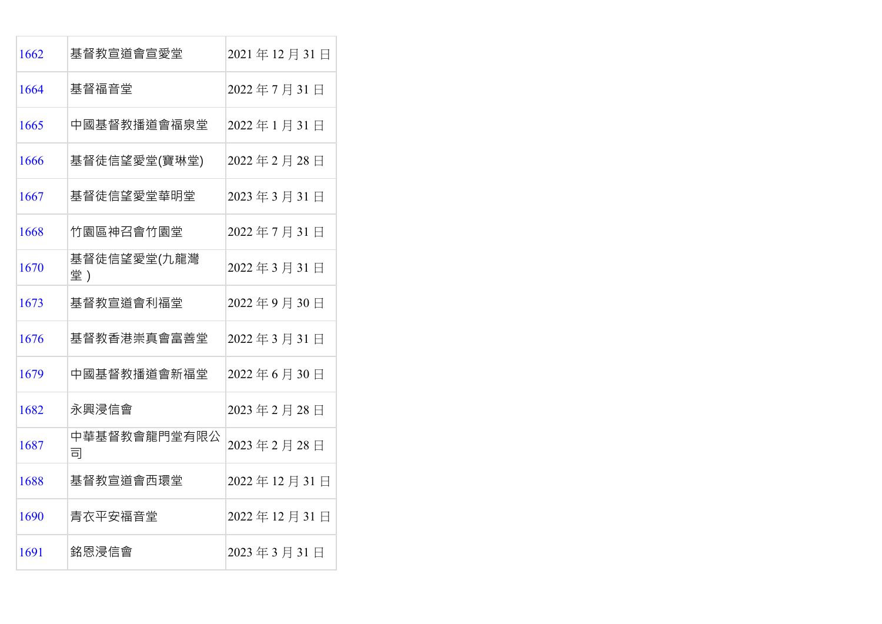| 1662 | 基督教宣道會宣愛堂         | 2021年12月31日 |
|------|-------------------|-------------|
| 1664 | 基督福音堂             | 2022年7月31日  |
| 1665 | 中國基督教播道會福泉堂       | 2022年1月31日  |
| 1666 | 基督徒信望愛堂(寶琳堂)      | 2022年2月28日  |
| 1667 | 基督徒信望愛堂華明堂        | 2023年3月31日  |
| 1668 | 竹園區神召會竹園堂         | 2022年7月31日  |
| 1670 | 基督徒信望愛堂(九龍灣<br>堂) | 2022年3月31日  |
| 1673 | 基督教宣道會利福堂         | 2022年9月30日  |
| 1676 | 基督教香港崇真會富善堂       | 2022年3月31日  |
| 1679 | 中國基督教播道會新福堂       | 2022年6月30日  |
| 1682 | 永興浸信會             | 2023年2月28日  |
| 1687 | 中華基督教會龍門堂有限公<br>司 | 2023年2月28日  |
| 1688 | 基督教宣道會西環堂         | 2022年12月31日 |
| 1690 | 青衣平安福音堂           | 2022年12月31日 |
| 1691 | 銘恩浸信會             | 2023年3月31日  |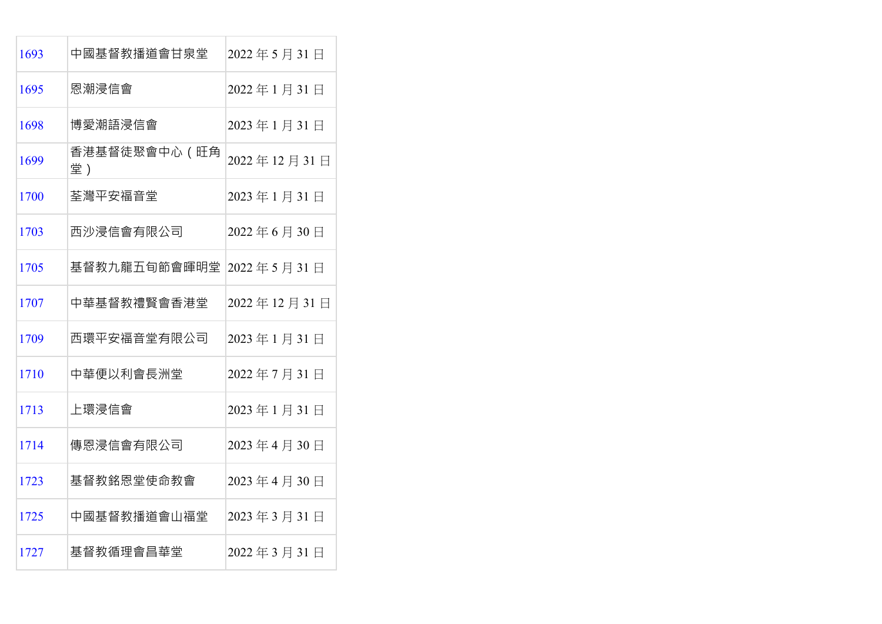| 1693 | 中國基督教播道會甘泉堂         | 2022年5月31日  |
|------|---------------------|-------------|
| 1695 | 恩潮浸信會               | 2022年1月31日  |
| 1698 | 博愛潮語浸信會             | 2023年1月31日  |
| 1699 | 香港基督徒聚會中心 (旺角<br>堂) | 2022年12月31日 |
| 1700 | 荃灣平安福音堂             | 2023年1月31日  |
| 1703 | 西沙浸信會有限公司           | 2022年6月30日  |
| 1705 | 基督教九龍五旬節會暉明堂        | 2022年5月31日  |
| 1707 | 中華基督教禮賢會香港堂         | 2022年12月31日 |
| 1709 | 西環平安福音堂有限公司         | 2023年1月31日  |
| 1710 | 中華便以利會長洲堂           | 2022年7月31日  |
| 1713 | 上環浸信會               | 2023年1月31日  |
| 1714 | 傳恩浸信會有限公司           | 2023年4月30日  |
| 1723 | 基督教銘恩堂使命教會          | 2023年4月30日  |
| 1725 | 中國基督教播道會山福堂         | 2023年3月31日  |
| 1727 | 基督教循理會昌華堂           | 2022年3月31日  |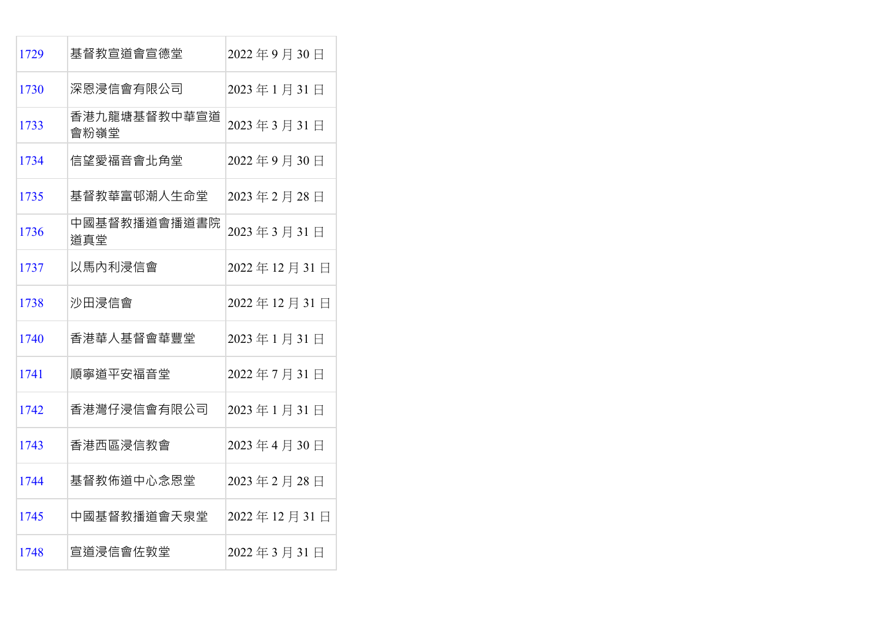| 1729 | 基督教宣道會宣德堂            | 2022年9月30日  |
|------|----------------------|-------------|
| 1730 | 深恩浸信會有限公司            | 2023年1月31日  |
| 1733 | 香港九龍塘基督教中華宣道<br>會粉嶺堂 | 2023年3月31日  |
| 1734 | 信望愛福音會北角堂            | 2022年9月30日  |
| 1735 | 基督教華富邨潮人生命堂          | 2023年2月28日  |
| 1736 | 中國基督教播道會播道書院<br>道真堂  | 2023年3月31日  |
| 1737 | 以馬內利浸信會              | 2022年12月31日 |
| 1738 | 沙田浸信會                | 2022年12月31日 |
| 1740 | 香港華人基督會華豐堂           | 2023年1月31日  |
| 1741 | 順寧道平安福音堂             | 2022年7月31日  |
| 1742 | 香港灣仔浸信會有限公司          | 2023年1月31日  |
| 1743 | 香港西區浸信教會             | 2023年4月30日  |
| 1744 | 基督教佈道中心念恩堂           | 2023年2月28日  |
| 1745 | 中國基督教播道會天泉堂          | 2022年12月31日 |
| 1748 | 宣道浸信會佐敦堂             | 2022年3月31日  |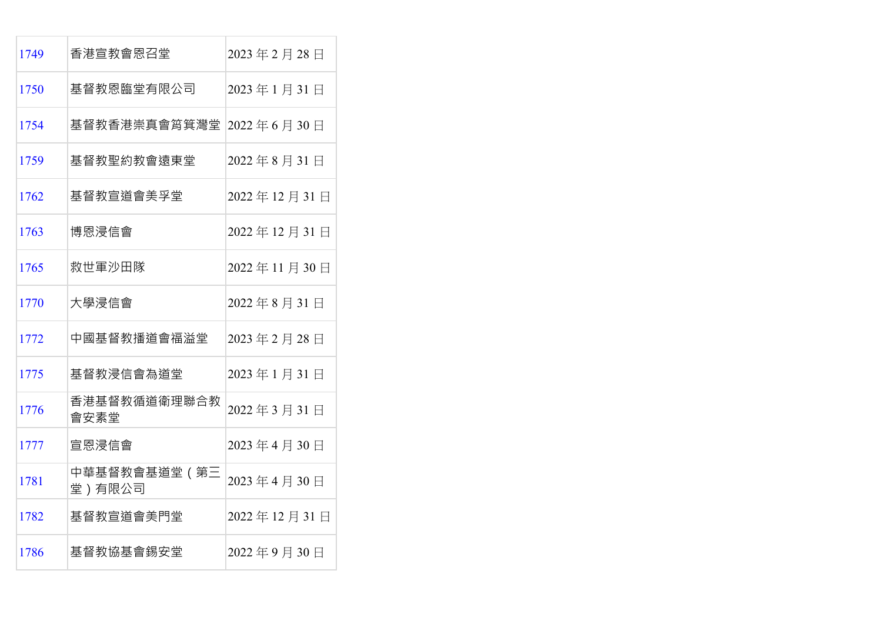| 1749 | 香港宣教會恩召堂                | 2023年2月28日  |
|------|-------------------------|-------------|
| 1750 | 基督教恩臨堂有限公司              | 2023年1月31日  |
| 1754 | 基督教香港崇真會筲箕灣堂            | 2022年6月30日  |
| 1759 | 基督教聖約教會遠東堂              | 2022年8月31日  |
| 1762 | 基督教宣道會美孚堂               | 2022年12月31日 |
| 1763 | 博恩浸信會                   | 2022年12月31日 |
| 1765 | 救世軍沙田隊                  | 2022年11月30日 |
| 1770 | 大學浸信會                   | 2022年8月31日  |
| 1772 | 中國基督教播道會福溢堂             | 2023年2月28日  |
| 1775 | 基督教浸信會為道堂               | 2023年1月31日  |
| 1776 | 香港基督教循道衛理聯合教<br>會安素堂    | 2022年3月31日  |
| 1777 | 宣恩浸信會                   | 2023年4月30日  |
| 1781 | 中華基督教會基道堂 (第三<br>堂)有限公司 | 2023年4月30日  |
| 1782 | 基督教宣道會美門堂               | 2022年12月31日 |
| 1786 | 基督教協基會錫安堂               | 2022年9月30日  |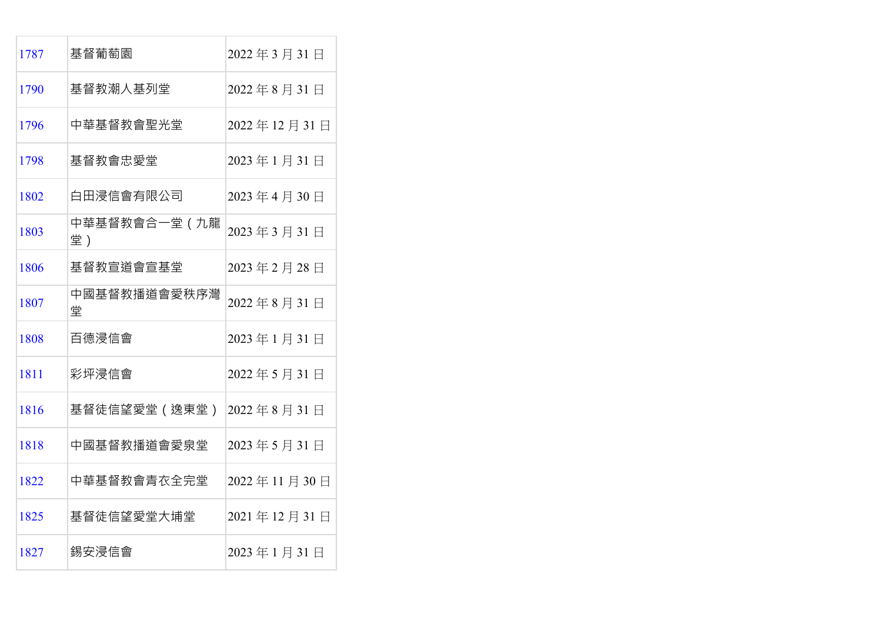| 1787 | 基督葡萄園               | 2022年3月31日  |
|------|---------------------|-------------|
| 1790 | 基督教潮人基列堂            | 2022年8月31日  |
| 1796 | 中華基督教會聖光堂           | 2022年12月31日 |
| 1798 | 基督教會忠愛堂             | 2023年1月31日  |
| 1802 | 白田浸信會有限公司           | 2023年4月30日  |
| 1803 | 中華基督教會合一堂 (九龍<br>堂) | 2023年3月31日  |
| 1806 | 基督教宣道會宣基堂           | 2023年2月28日  |
| 1807 | 中國基督教播道會愛秩序灣<br>堂   | 2022年8月31日  |
| 1808 | 百德浸信會               | 2023年1月31日  |
| 1811 | 彩坪浸信會               | 2022年5月31日  |
| 1816 | 基督徒信望愛堂 (逸東堂)       | 2022年8月31日  |
| 1818 | 中國基督教播道會愛泉堂         | 2023年5月31日  |
| 1822 | 中華基督教會青衣全完堂         | 2022年11月30日 |
| 1825 | 基督徒信望愛堂大埔堂          | 2021年12月31日 |
| 1827 | 錫安浸信會               | 2023年1月31日  |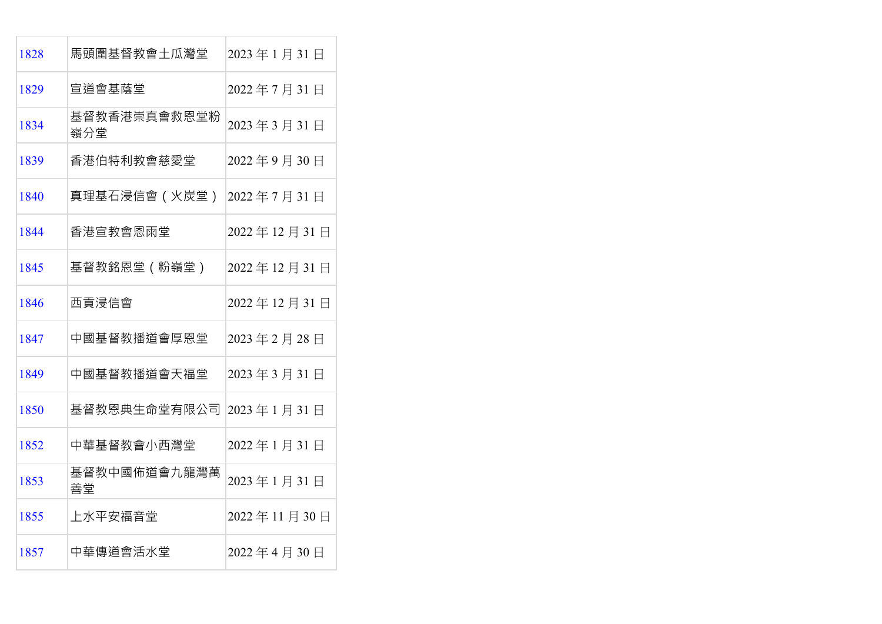| 1828 | 馬頭圍基督教會土瓜灣堂         | 2023年1月31日  |
|------|---------------------|-------------|
| 1829 | 宣道會基蔭堂              | 2022年7月31日  |
| 1834 | 基督教香港崇真會救恩堂粉<br>嶺分堂 | 2023年3月31日  |
| 1839 | 香港伯特利教會慈愛堂          | 2022年9月30日  |
| 1840 | 真理基石浸信會 (火炭堂)       | 2022年7月31日  |
| 1844 | 香港宣教會恩雨堂            | 2022年12月31日 |
| 1845 | 基督教銘恩堂(粉嶺堂)         | 2022年12月31日 |
| 1846 | 西貢浸信會               | 2022年12月31日 |
| 1847 | 中國基督教播道會厚恩堂         | 2023年2月28日  |
| 1849 | 中國基督教播道會天福堂         | 2023年3月31日  |
| 1850 | 基督教恩典生命堂有限公司        | 2023年1月31日  |
| 1852 | 中華基督教會小西灣堂          | 2022年1月31日  |
| 1853 | 基督教中國佈道會九龍灣萬<br>善堂  | 2023年1月31日  |
| 1855 | 上水平安福音堂             | 2022年11月30日 |
| 1857 | 中華傳道會活水堂            | 2022年4月30日  |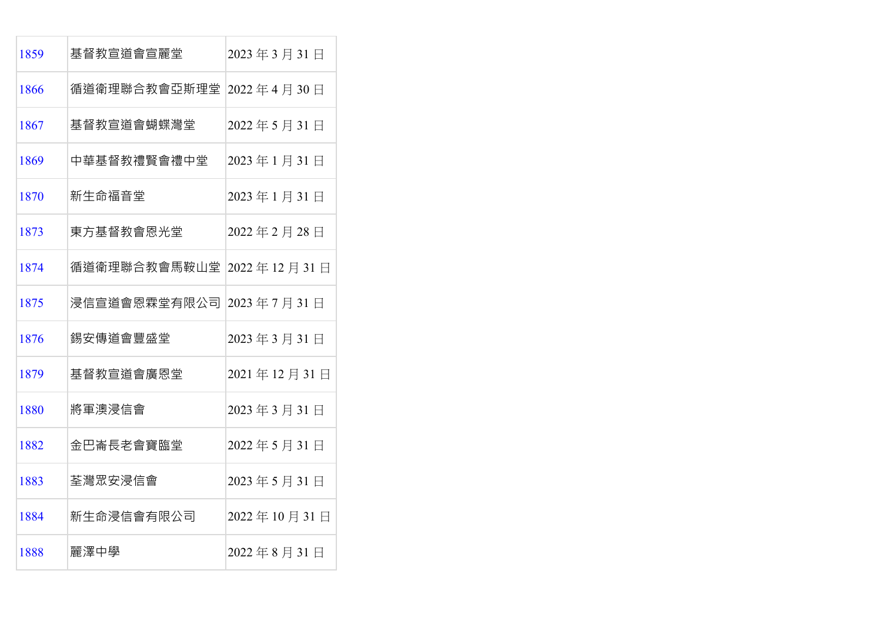| 1859 | 基督教宣道會宣麗堂                      | 2023年3月31日  |
|------|--------------------------------|-------------|
| 1866 | 循道衛理聯合教會亞斯理堂                   | 2022年4月30日  |
| 1867 | 基督教宣道會蝴蝶灣堂                     | 2022年5月31日  |
| 1869 | 中華基督教禮賢會禮中堂                    | 2023年1月31日  |
| 1870 | 新生命福音堂                         | 2023年1月31日  |
| 1873 | 東方基督教會恩光堂                      | 2022年2月28日  |
| 1874 | 循道衛理聯合教會馬鞍山堂  2022 年 12 月 31 日 |             |
| 1875 | 浸信宣道會恩霖堂有限公司                   | 2023年7月31日  |
| 1876 | 錫安傳道會豐盛堂                       | 2023年3月31日  |
| 1879 | 基督教宣道會廣恩堂                      | 2021年12月31日 |
| 1880 | 將軍澳浸信會                         | 2023年3月31日  |
| 1882 | 金巴崙長老會寶臨堂                      | 2022年5月31日  |
| 1883 | 荃灣眾安浸信會                        | 2023年5月31日  |
| 1884 | 新生命浸信會有限公司                     | 2022年10月31日 |
| 1888 | 麗澤中學                           | 2022年8月31日  |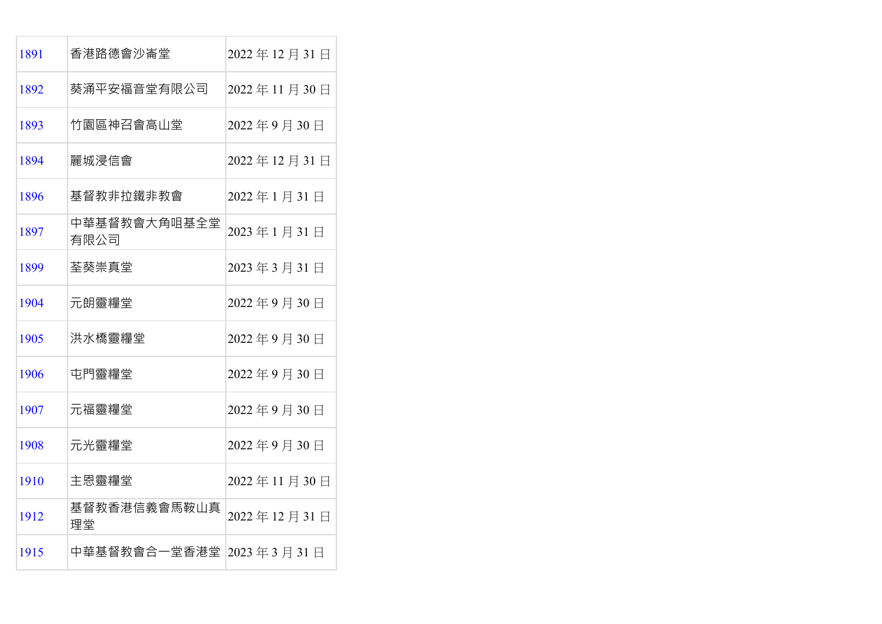| 1891 | 香港路德會沙崙堂                 | 2022年12月31日 |
|------|--------------------------|-------------|
| 1892 | 葵涌平安福音堂有限公司              | 2022年11月30日 |
| 1893 | 竹園區神召會高山堂                | 2022年9月30日  |
| 1894 | 麗城浸信會                    | 2022年12月31日 |
| 1896 | 基督教非拉鐵非教會                | 2022年1月31日  |
| 1897 | 中華基督教會大角咀基全堂<br>有限公司     | 2023年1月31日  |
| 1899 | 荃葵崇真堂                    | 2023年3月31日  |
| 1904 | 元朗靈糧堂                    | 2022年9月30日  |
| 1905 | 洪水橋靈糧堂                   | 2022年9月30日  |
| 1906 | 屯門靈糧堂                    | 2022年9月30日  |
| 1907 | 元福靈糧堂                    | 2022年9月30日  |
| 1908 | 元光靈糧堂                    | 2022年9月30日  |
| 1910 | 主恩靈糧堂                    | 2022年11月30日 |
| 1912 | 基督教香港信義會馬鞍山真<br>理堂       | 2022年12月31日 |
| 1915 | 中華基督教會合一堂香港堂  2023年3月31日 |             |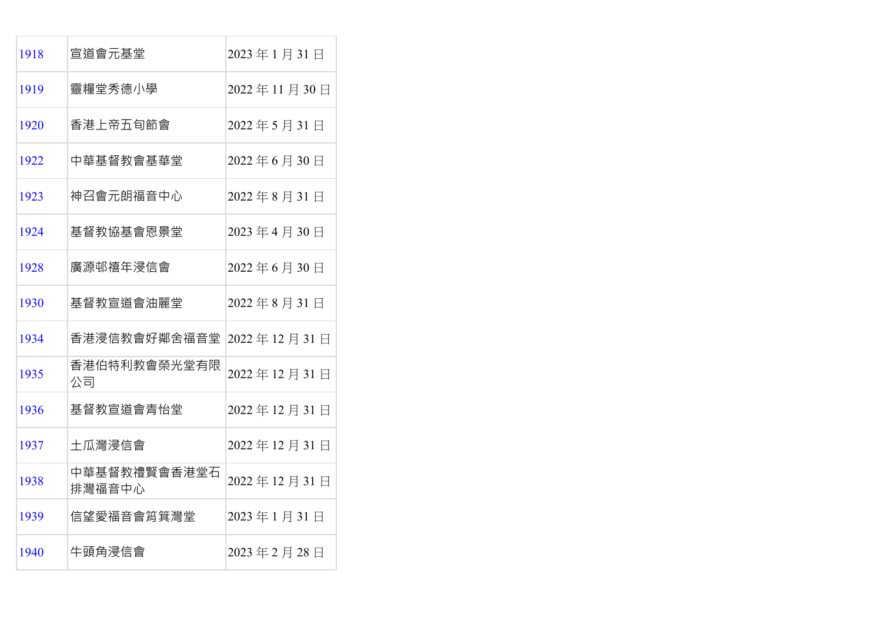| 1918 | 宣道會元基堂                 | 2023年1月31日  |
|------|------------------------|-------------|
| 1919 | 靈糧堂秀德小學                | 2022年11月30日 |
| 1920 | 香港上帝五旬節會               | 2022年5月31日  |
| 1922 | 中華基督教會基華堂              | 2022年6月30日  |
| 1923 | 神召會元朗福音中心              | 2022年8月31日  |
| 1924 | 基督教協基會恩景堂              | 2023年4月30日  |
| 1928 | 廣源邨禧年浸信會               | 2022年6月30日  |
| 1930 | 基督教宣道會油麗堂              | 2022年8月31日  |
| 1934 | 香港浸信教會好鄰舍福音堂           | 2022年12月31日 |
| 1935 | 香港伯特利教會榮光堂有限<br>公司     | 2022年12月31日 |
| 1936 | 基督教宣道會青怡堂              | 2022年12月31日 |
| 1937 | 土瓜灣浸信會                 | 2022年12月31日 |
| 1938 | 中華基督教禮賢會香港堂石<br>排灣福音中心 | 2022年12月31日 |
| 1939 | 信望愛福音會筲箕灣堂             | 2023年1月31日  |
| 1940 | 牛頭角浸信會                 | 2023年2月28日  |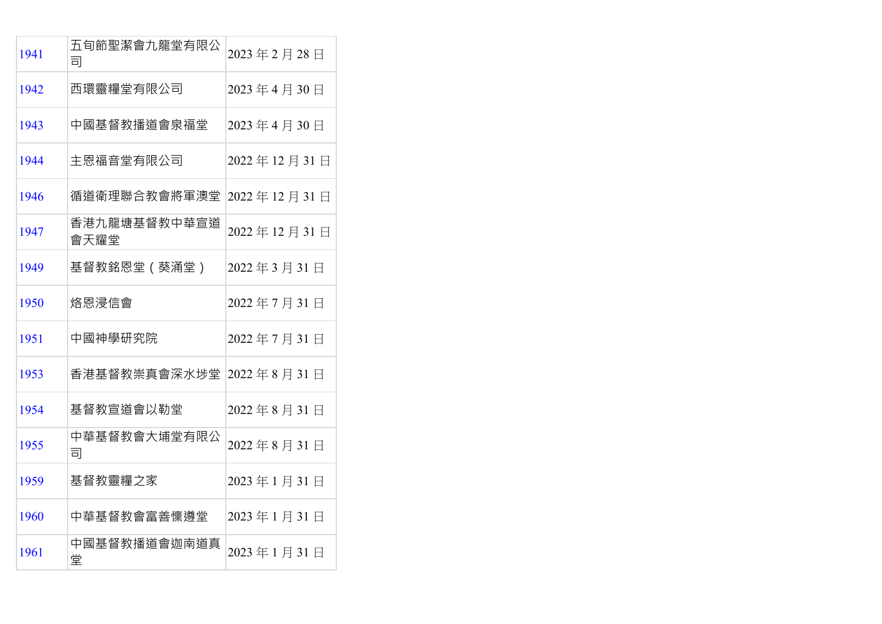| 1941 | 五旬節聖潔會九龍堂有限公<br>司    | 2023年2月28日  |
|------|----------------------|-------------|
| 1942 | 西環靈糧堂有限公司            | 2023年4月30日  |
| 1943 | 中國基督教播道會泉福堂          | 2023年4月30日  |
| 1944 | 主恩福音堂有限公司            | 2022年12月31日 |
| 1946 | 循道衛理聯合教會將軍澳堂         | 2022年12月31日 |
| 1947 | 香港九龍塘基督教中華宣道<br>會天耀堂 | 2022年12月31日 |
| 1949 | 基督教銘恩堂 (葵涌堂)         | 2022年3月31日  |
| 1950 | 烙恩浸信會                | 2022年7月31日  |
| 1951 | 中國神學研究院              | 2022年7月31日  |
| 1953 | 香港基督教崇真會深水埗堂         | 2022年8月31日  |
| 1954 | 基督教宣道會以勒堂            | 2022年8月31日  |
| 1955 | 中華基督教會大埔堂有限公<br>司    | 2022年8月31日  |
| 1959 | 基督教靈糧之家              | 2023年1月31日  |
| 1960 | 中華基督教會富善懍遵堂          | 2023年1月31日  |
| 1961 | 中國基督教播道會迦南道真<br>堂    | 2023年1月31日  |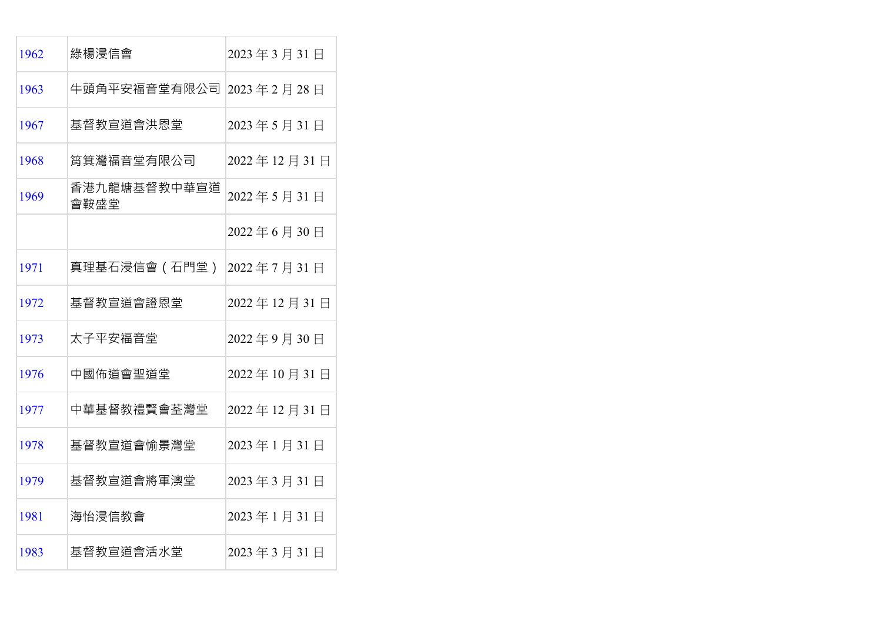| 1962 | 綠楊浸信會                | 2023年3月31日  |
|------|----------------------|-------------|
| 1963 | 牛頭角平安福音堂有限公司         | 2023年2月28日  |
| 1967 | 基督教宣道會洪恩堂            | 2023年5月31日  |
| 1968 | 筲箕灣福音堂有限公司           | 2022年12月31日 |
| 1969 | 香港九龍塘基督教中華宣道<br>會鞍盛堂 | 2022年5月31日  |
|      |                      | 2022年6月30日  |
| 1971 | 真理基石浸信會 (石門堂)        | 2022年7月31日  |
| 1972 | 基督教宣道會證恩堂            | 2022年12月31日 |
| 1973 | 太子平安福音堂              | 2022年9月30日  |
| 1976 | 中國佈道會聖道堂             | 2022年10月31日 |
| 1977 | 中華基督教禮賢會荃灣堂          | 2022年12月31日 |
| 1978 | 基督教宣道會愉景灣堂           | 2023年1月31日  |
| 1979 | 基督教宣道會將軍澳堂           | 2023年3月31日  |
| 1981 | 海怡浸信教會               | 2023年1月31日  |
| 1983 | 基督教宣道會活水堂            | 2023年3月31日  |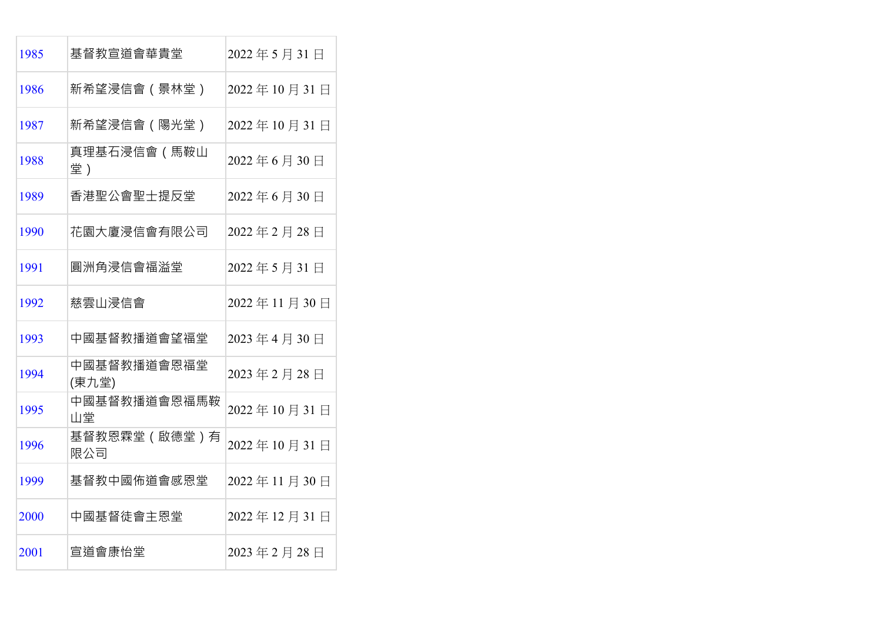| 1985 | 基督教宣道會華貴堂            | 2022年5月31日  |
|------|----------------------|-------------|
| 1986 | 新希望浸信會(景林堂)          | 2022年10月31日 |
| 1987 | 新希望浸信會(陽光堂)          | 2022年10月31日 |
| 1988 | 真理基石浸信會(馬鞍山<br>堂)    | 2022年6月30日  |
| 1989 | 香港聖公會聖士提反堂           | 2022年6月30日  |
| 1990 | 花園大廈浸信會有限公司          | 2022年2月28日  |
| 1991 | 圓洲角浸信會福溢堂            | 2022年5月31日  |
| 1992 | 慈雲山浸信會               | 2022年11月30日 |
| 1993 | 中國基督教播道會望福堂          | 2023年4月30日  |
| 1994 | 中國基督教播道會恩福堂<br>(東九堂) | 2023年2月28日  |
| 1995 | 中國基督教播道會恩福馬鞍<br>山堂   | 2022年10月31日 |
| 1996 | 基督教恩霖堂(啟德堂)有<br>限公司  | 2022年10月31日 |
| 1999 | 基督教中國佈道會感恩堂          | 2022年11月30日 |
| 2000 | 中國基督徒會主恩堂            | 2022年12月31日 |
| 2001 | 宣道會康怡堂               | 2023年2月28日  |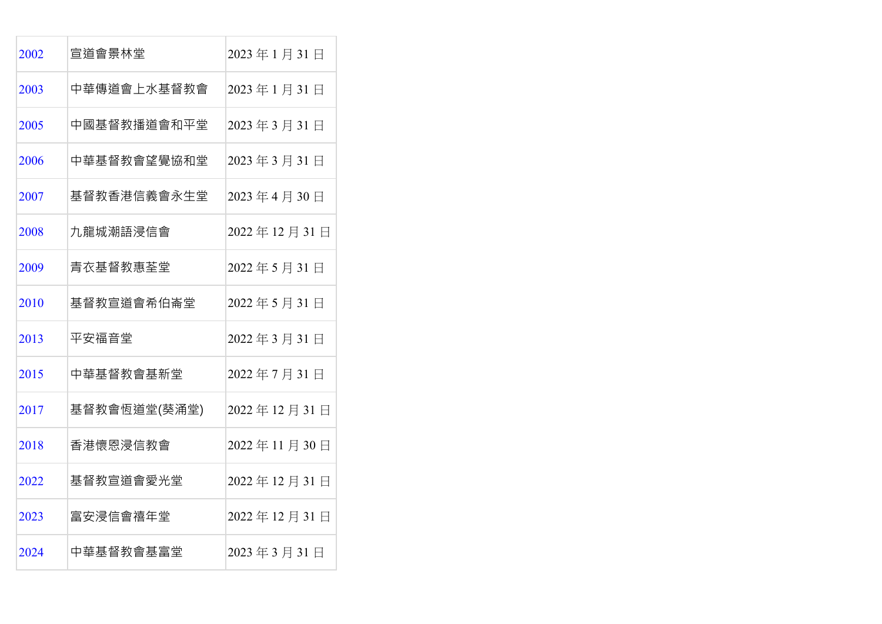| 2002 | 宣道會景林堂       | 2023年1月31日  |
|------|--------------|-------------|
| 2003 | 中華傳道會上水基督教會  | 2023年1月31日  |
| 2005 | 中國基督教播道會和平堂  | 2023年3月31日  |
| 2006 | 中華基督教會望覺協和堂  | 2023年3月31日  |
| 2007 | 基督教香港信義會永生堂  | 2023年4月30日  |
| 2008 | 九龍城潮語浸信會     | 2022年12月31日 |
| 2009 | 青衣基督教惠荃堂     | 2022年5月31日  |
| 2010 | 基督教宣道會希伯崙堂   | 2022年5月31日  |
| 2013 | 平安福音堂        | 2022年3月31日  |
| 2015 | 中華基督教會基新堂    | 2022年7月31日  |
| 2017 | 基督教會恆道堂(葵涌堂) | 2022年12月31日 |
| 2018 | 香港懷恩浸信教會     | 2022年11月30日 |
| 2022 | 基督教宣道會愛光堂    | 2022年12月31日 |
| 2023 | 富安浸信會禧年堂     | 2022年12月31日 |
| 2024 | 中華基督教會基富堂    | 2023年3月31日  |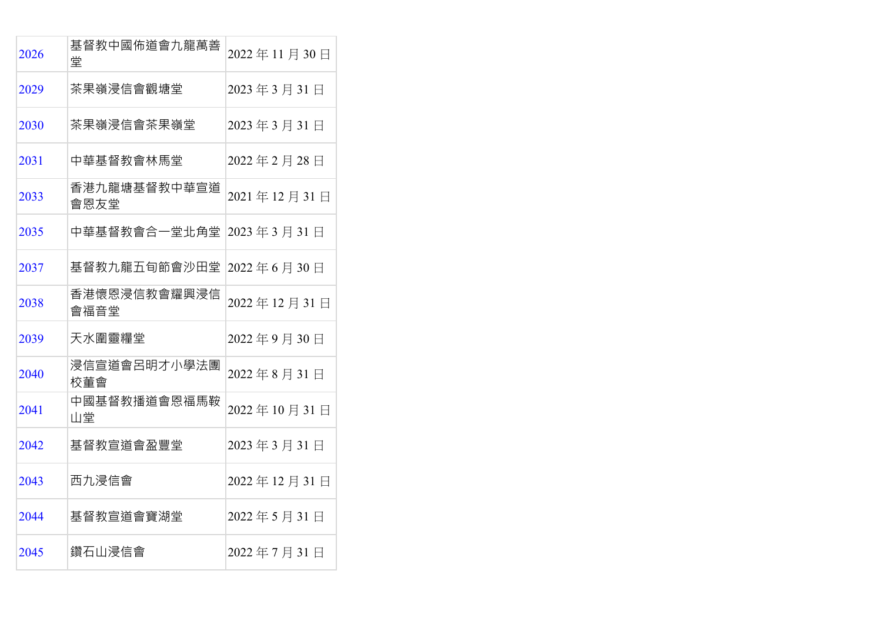| 2026 | 基督教中國佈道會九龍萬善<br>堂    | 2022年11月30日 |
|------|----------------------|-------------|
| 2029 | 茶果嶺浸信會觀塘堂            | 2023年3月31日  |
| 2030 | 茶果嶺浸信會茶果嶺堂           | 2023年3月31日  |
| 2031 | 中華基督教會林馬堂            | 2022年2月28日  |
| 2033 | 香港九龍塘基督教中華宣道<br>會恩友堂 | 2021年12月31日 |
| 2035 | 中華基督教會合一堂北角堂         | 2023年3月31日  |
| 2037 | 基督教九龍五旬節會沙田堂         | 2022年6月30日  |
| 2038 | 香港懷恩浸信教會耀興浸信<br>會福音堂 | 2022年12月31日 |
| 2039 | 天水圍靈糧堂               | 2022年9月30日  |
| 2040 | 浸信宣道會呂明才小學法團<br>校董會  | 2022年8月31日  |
| 2041 | 中國基督教播道會恩福馬鞍<br>山堂   | 2022年10月31日 |
| 2042 | 基督教宣道會盈豐堂            | 2023年3月31日  |
| 2043 | 西九浸信會                | 2022年12月31日 |
| 2044 | 基督教宣道會寶湖堂            | 2022年5月31日  |
| 2045 | 鑽石山浸信會               | 2022年7月31日  |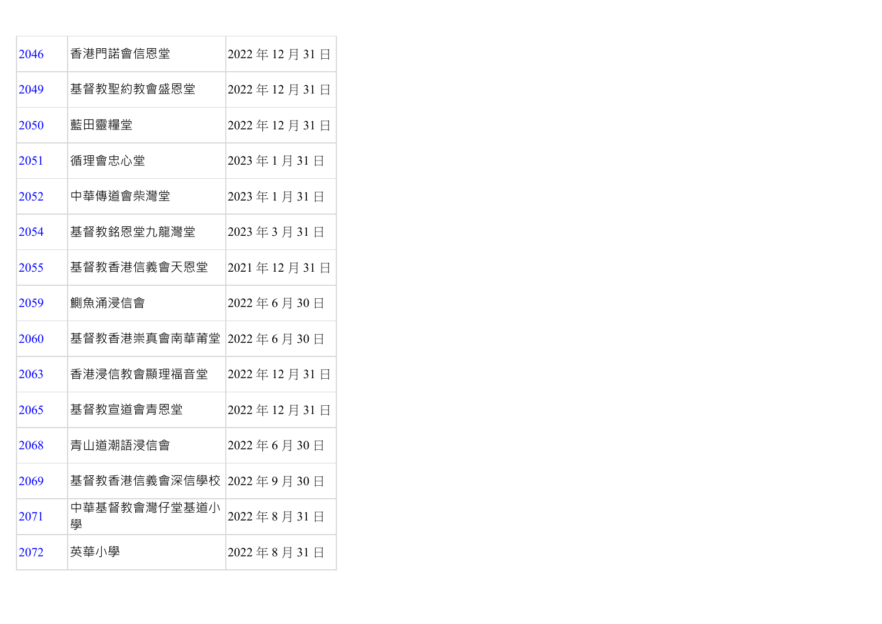| 2046 | 香港門諾會信恩堂          | 2022年12月31日 |
|------|-------------------|-------------|
| 2049 | 基督教聖約教會盛恩堂        | 2022年12月31日 |
| 2050 | 藍田靈糧堂             | 2022年12月31日 |
| 2051 | 循理會忠心堂            | 2023年1月31日  |
| 2052 | 中華傳道會柴灣堂          | 2023年1月31日  |
| 2054 | 基督教銘恩堂九龍灣堂        | 2023年3月31日  |
| 2055 | 基督教香港信義會天恩堂       | 2021年12月31日 |
| 2059 | 鰂魚涌浸信會            | 2022年6月30日  |
| 2060 | 基督教香港崇真會南華莆堂      | 2022年6月30日  |
| 2063 | 香港浸信教會顯理福音堂       | 2022年12月31日 |
| 2065 | 基督教宣道會青恩堂         | 2022年12月31日 |
| 2068 | 青山道潮語浸信會          | 2022年6月30日  |
| 2069 | 基督教香港信義會深信學校      | 2022年9月30日  |
| 2071 | 中華基督教會灣仔堂基道小<br>壆 | 2022年8月31日  |
| 2072 | 英華小學              | 2022年8月31日  |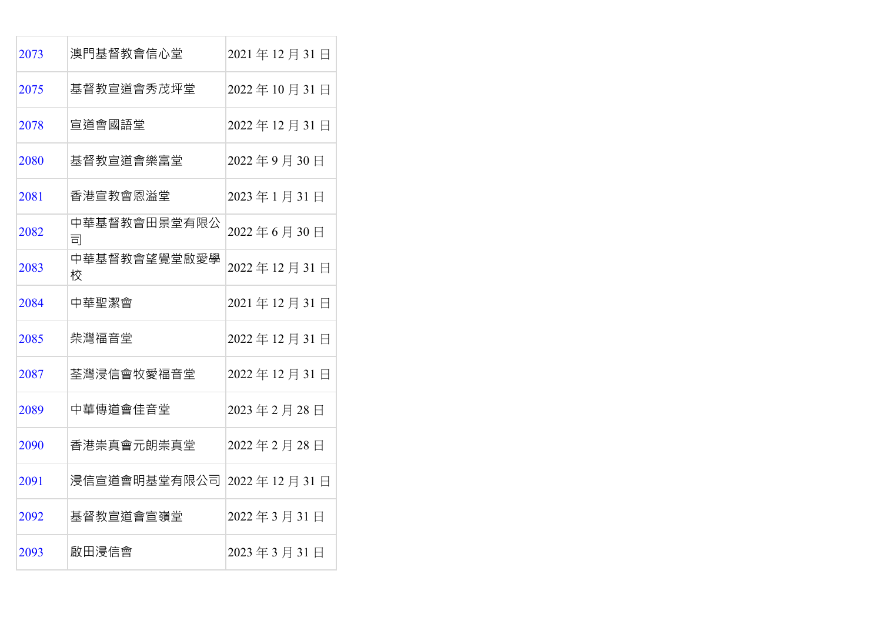| 2073 | 澳門基督教會信心堂         | 2021年12月31日 |
|------|-------------------|-------------|
| 2075 | 基督教宣道會秀茂坪堂        | 2022年10月31日 |
| 2078 | 宣道會國語堂            | 2022年12月31日 |
| 2080 | 基督教宣道會樂富堂         | 2022年9月30日  |
| 2081 | 香港宣教會恩溢堂          | 2023年1月31日  |
| 2082 | 中華基督教會田景堂有限公<br>司 | 2022年6月30日  |
| 2083 | 中華基督教會望覺堂啟愛學<br>校 | 2022年12月31日 |
| 2084 | 中華聖潔會             | 2021年12月31日 |
| 2085 | 柴灣福音堂             | 2022年12月31日 |
| 2087 | 荃灣浸信會牧愛福音堂        | 2022年12月31日 |
| 2089 | 中華傳道會佳音堂          | 2023年2月28日  |
| 2090 | 香港崇真會元朗崇真堂        | 2022年2月28日  |
| 2091 | 浸信宣道會明基堂有限公司      | 2022年12月31日 |
| 2092 | 基督教宣道會宣嶺堂         | 2022年3月31日  |
| 2093 | 啟田浸信會             | 2023年3月31日  |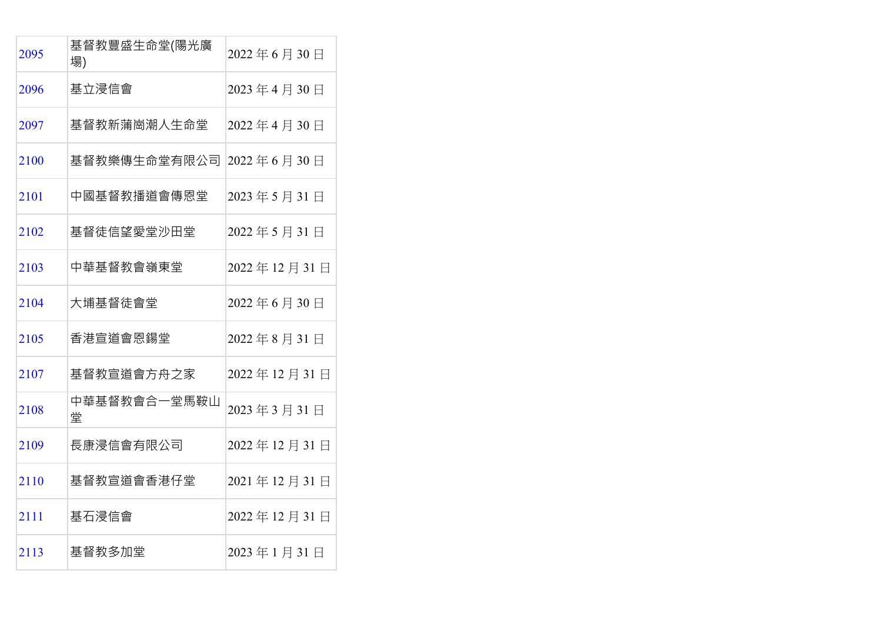| 2095 | 基督教豐盛生命堂(陽光廣<br>場) | 2022年6月30日  |
|------|--------------------|-------------|
| 2096 | 基立浸信會              | 2023年4月30日  |
| 2097 | 基督教新蒲崗潮人生命堂        | 2022年4月30日  |
| 2100 | 基督教樂傳生命堂有限公司       | 2022年6月30日  |
| 2101 | 中國基督教播道會傳恩堂        | 2023年5月31日  |
| 2102 | 基督徒信望愛堂沙田堂         | 2022年5月31日  |
| 2103 | 中華基督教會嶺東堂          | 2022年12月31日 |
| 2104 | 大埔基督徒會堂            | 2022年6月30日  |
| 2105 | 香港宣道會恩鍚堂           | 2022年8月31日  |
| 2107 | 基督教宣道會方舟之家         | 2022年12月31日 |
| 2108 | 中華基督教會合一堂馬鞍山<br>堂  | 2023年3月31日  |
| 2109 | 長康浸信會有限公司          | 2022年12月31日 |
| 2110 | 基督教宣道會香港仔堂         | 2021年12月31日 |
| 2111 | 基石浸信會              | 2022年12月31日 |
| 2113 | 基督教多加堂             | 2023年1月31日  |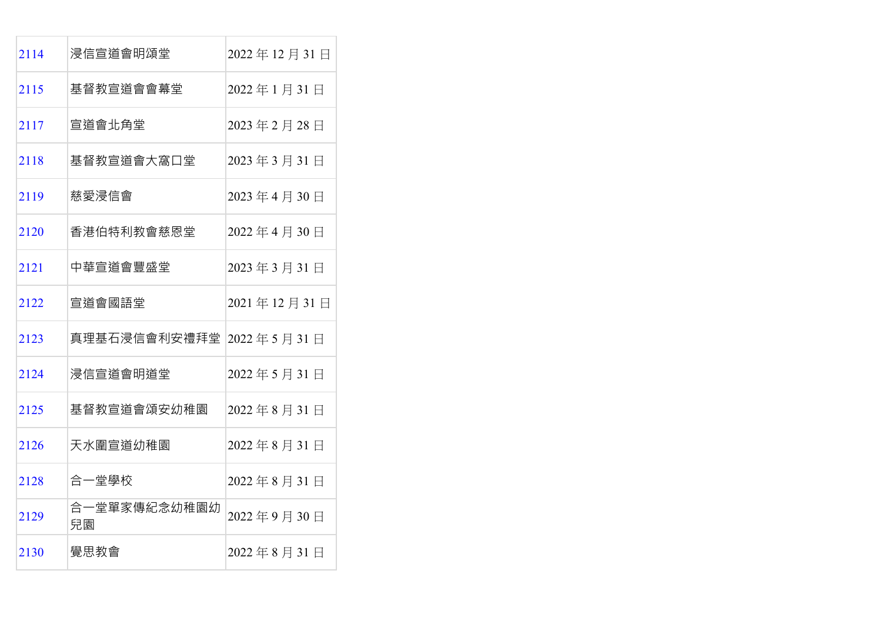| 2114 | 浸信宣道會明頌堂                | 2022年12月31日 |
|------|-------------------------|-------------|
| 2115 | 基督教宣道會會幕堂               | 2022年1月31日  |
| 2117 | 宣道會北角堂                  | 2023年2月28日  |
| 2118 | 基督教宣道會大窩口堂              | 2023年3月31日  |
| 2119 | 慈愛浸信會                   | 2023年4月30日  |
| 2120 | 香港伯特利教會慈恩堂              | 2022年4月30日  |
| 2121 | 中華宣道會豐盛堂                | 2023年3月31日  |
| 2122 | 宣道會國語堂                  | 2021年12月31日 |
| 2123 | 真理基石浸信會利安禮拜堂 2022年5月31日 |             |
| 2124 | 浸信宣道會明道堂                | 2022年5月31日  |
| 2125 | 基督教宣道會頌安幼稚園             | 2022年8月31日  |
| 2126 | 天水圍宣道幼稚園                | 2022年8月31日  |
| 2128 | 合一堂學校                   | 2022年8月31日  |
| 2129 | 合一堂單家傳紀念幼稚園幼<br>兒園      | 2022年9月30日  |
| 2130 | 覺思教會                    | 2022年8月31日  |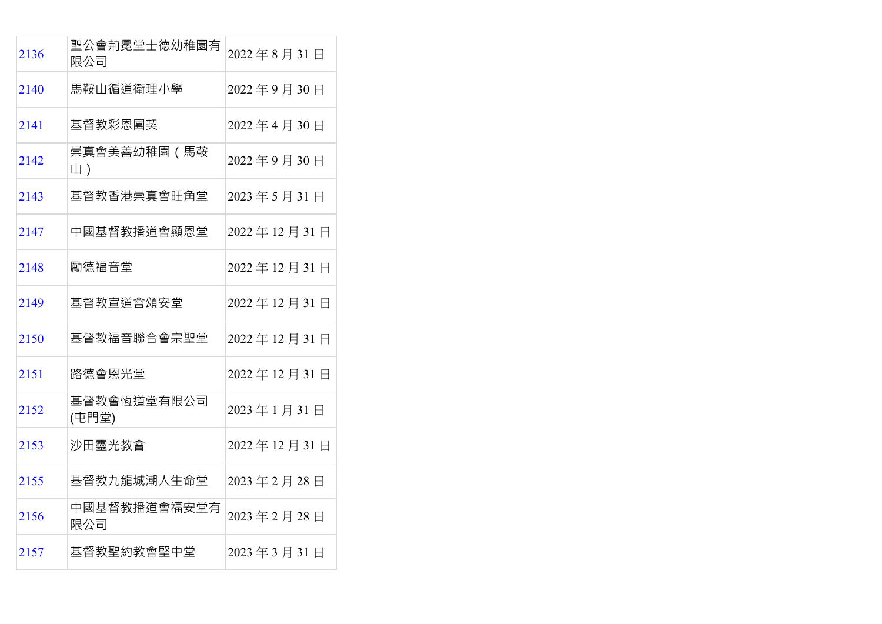| 2136 | 聖公會荊冕堂士德幼稚園有<br>限公司  | 2022年8月31日  |
|------|----------------------|-------------|
| 2140 | 馬鞍山循道衛理小學            | 2022年9月30日  |
| 2141 | 基督教彩恩團契              | 2022年4月30日  |
| 2142 | 崇真會美善幼稚園(馬鞍<br>山)    | 2022年9月30日  |
| 2143 | 基督教香港崇真會旺角堂          | 2023年5月31日  |
| 2147 | 中國基督教播道會顯恩堂          | 2022年12月31日 |
| 2148 | 勵德福音堂                | 2022年12月31日 |
| 2149 | 基督教宣道會頌安堂            | 2022年12月31日 |
| 2150 | 基督教福音聯合會宗聖堂          | 2022年12月31日 |
| 2151 | 路德會恩光堂               | 2022年12月31日 |
| 2152 | 基督教會恆道堂有限公司<br>(屯門堂) | 2023年1月31日  |
| 2153 | 沙田靈光教會               | 2022年12月31日 |
| 2155 | 基督教九龍城潮人生命堂          | 2023年2月28日  |
| 2156 | 中國基督教播道會福安堂有<br>限公司  | 2023年2月28日  |
| 2157 | 基督教聖約教會堅中堂           | 2023年3月31日  |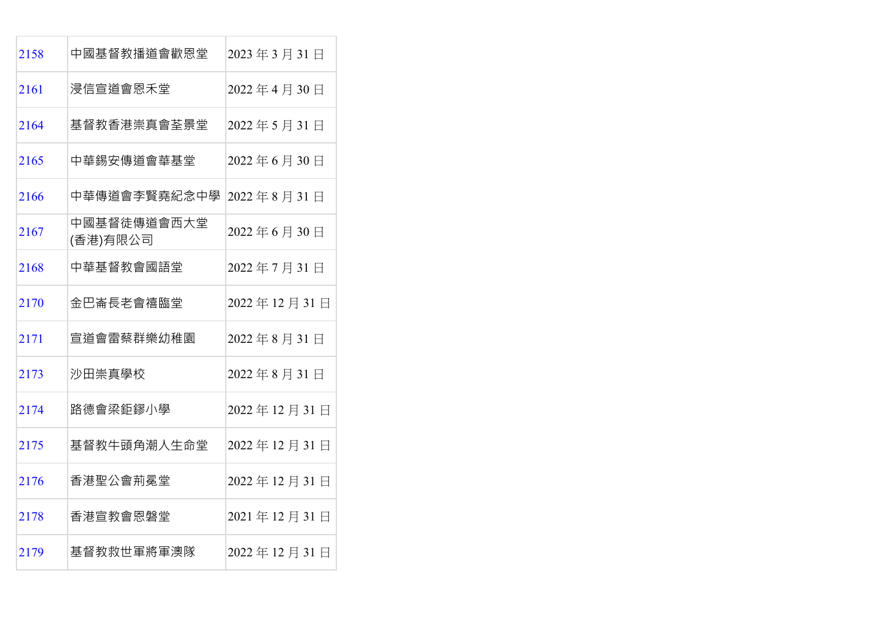| 2158 | 中國基督教播道會歡恩堂             | 2023年3月31日  |
|------|-------------------------|-------------|
| 2161 | 浸信宣道會恩禾堂                | 2022年4月30日  |
| 2164 | 基督教香港崇真會荃景堂             | 2022年5月31日  |
| 2165 | 中華錫安傳道會華基堂              | 2022年6月30日  |
| 2166 | 中華傳道會李賢堯紀念中學            | 2022年8月31日  |
| 2167 | 中國基督徒傳道會西大堂<br>(香港)有限公司 | 2022年6月30日  |
| 2168 | 中華基督教會國語堂               | 2022年7月31日  |
| 2170 | 金巴崙長老會禧臨堂               | 2022年12月31日 |
| 2171 | 宣道會雷蔡群樂幼稚園              | 2022年8月31日  |
| 2173 | 沙田崇真學校                  | 2022年8月31日  |
| 2174 | 路德會梁鉅鏐小學                | 2022年12月31日 |
| 2175 | 基督教牛頭角潮人生命堂             | 2022年12月31日 |
| 2176 | 香港聖公會荊冕堂                | 2022年12月31日 |
| 2178 | 香港宣教會恩磐堂                | 2021年12月31日 |
| 2179 | 基督教救世軍將軍澳隊              | 2022年12月31日 |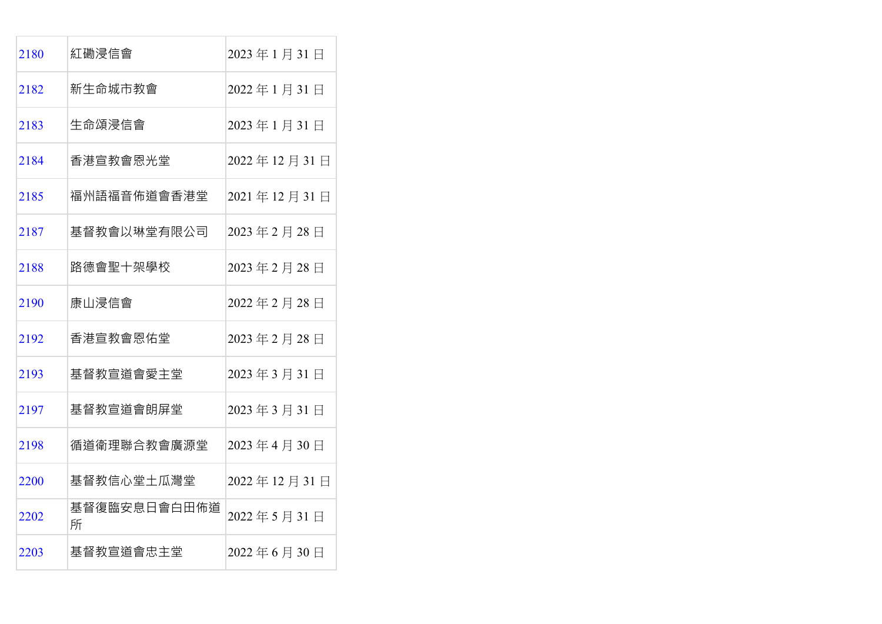| 2180 | 紅磡浸信會             | 2023年1月31日  |
|------|-------------------|-------------|
| 2182 | 新生命城市教會           | 2022年1月31日  |
| 2183 | 生命頌浸信會            | 2023年1月31日  |
| 2184 | 香港宣教會恩光堂          | 2022年12月31日 |
| 2185 | 福州語福音佈道會香港堂       | 2021年12月31日 |
| 2187 | 基督教會以琳堂有限公司       | 2023年2月28日  |
| 2188 | 路德會聖十架學校          | 2023年2月28日  |
| 2190 | 康山浸信會             | 2022年2月28日  |
| 2192 | 香港宣教會恩佑堂          | 2023年2月28日  |
| 2193 | 基督教宣道會愛主堂         | 2023年3月31日  |
| 2197 | 基督教宣道會朗屏堂         | 2023年3月31日  |
| 2198 | 循道衛理聯合教會廣源堂       | 2023年4月30日  |
| 2200 | 基督教信心堂土瓜灣堂        | 2022年12月31日 |
| 2202 | 基督復臨安息日會白田佈道<br>所 | 2022年5月31日  |
| 2203 | 基督教宣道會忠主堂         | 2022年6月30日  |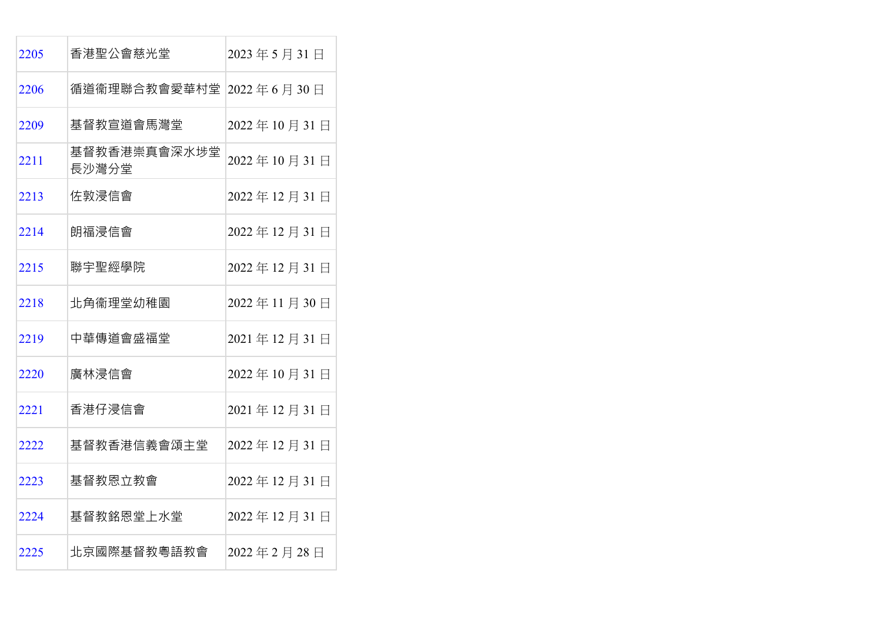| 2205 | 香港聖公會慈光堂                | 2023年5月31日  |
|------|-------------------------|-------------|
| 2206 | 循道衞理聯合教會愛華村堂 2022年6月30日 |             |
| 2209 | 基督教宣道會馬灣堂               | 2022年10月31日 |
| 2211 | 基督教香港崇真會深水埗堂<br>長沙灣分堂   | 2022年10月31日 |
| 2213 | 佐敦浸信會                   | 2022年12月31日 |
| 2214 | 朗福浸信會                   | 2022年12月31日 |
| 2215 | 聯宇聖經學院                  | 2022年12月31日 |
| 2218 | 北角衞理堂幼稚園                | 2022年11月30日 |
| 2219 | 中華傳道會盛福堂                | 2021年12月31日 |
| 2220 | 廣林浸信會                   | 2022年10月31日 |
| 2221 | 香港仔浸信會                  | 2021年12月31日 |
| 2222 | 基督教香港信義會頌主堂             | 2022年12月31日 |
| 2223 | 基督教恩立教會                 | 2022年12月31日 |
| 2224 | 基督教銘恩堂上水堂               | 2022年12月31日 |
| 2225 | 北京國際基督教粵語教會             | 2022年2月28日  |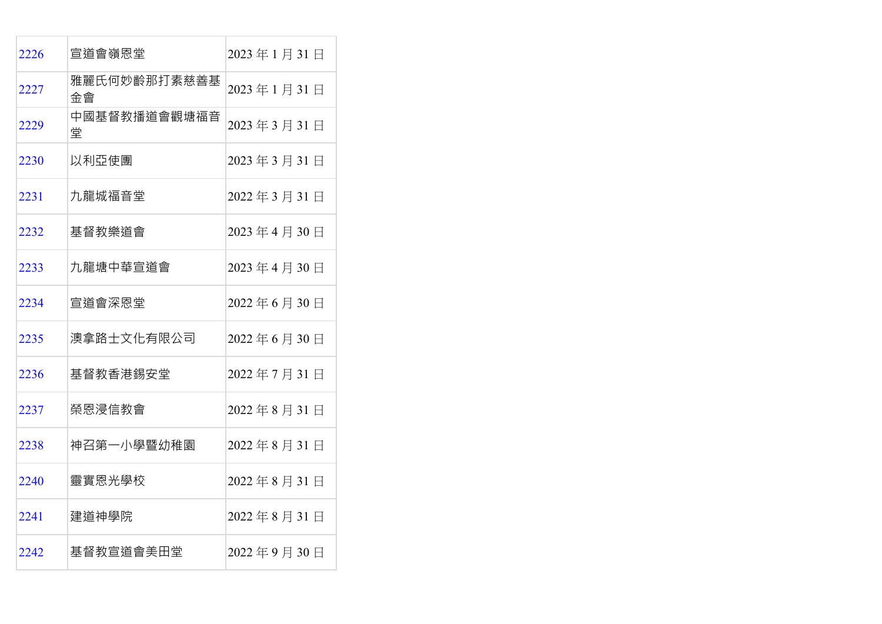| 2226 | 宣道會嶺恩堂             | 2023年1月31日 |
|------|--------------------|------------|
| 2227 | 雅麗氏何妙齡那打素慈善基<br>金會 | 2023年1月31日 |
| 2229 | 中國基督教播道會觀塘福音<br>堂  | 2023年3月31日 |
| 2230 | 以利亞使團              | 2023年3月31日 |
| 2231 | 九龍城福音堂             | 2022年3月31日 |
| 2232 | 基督教樂道會             | 2023年4月30日 |
| 2233 | 九龍塘中華宣道會           | 2023年4月30日 |
| 2234 | 宣道會深恩堂             | 2022年6月30日 |
| 2235 | 澳拿路士文化有限公司         | 2022年6月30日 |
| 2236 | 基督教香港錫安堂           | 2022年7月31日 |
| 2237 | 榮恩浸信教會             | 2022年8月31日 |
| 2238 | 神召第一小學暨幼稚園         | 2022年8月31日 |
| 2240 | 靈實恩光學校             | 2022年8月31日 |
| 2241 | 建道神學院              | 2022年8月31日 |
| 2242 | 基督教宣道會美田堂          | 2022年9月30日 |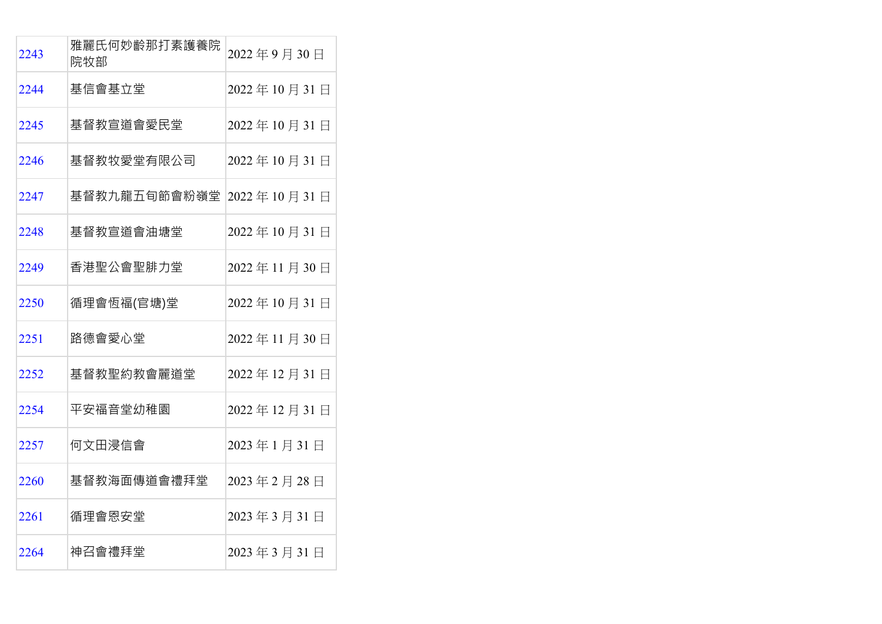| 2243 | 雅麗氏何妙齡那打素護養院<br>院牧部      | 2022年9月30日  |
|------|--------------------------|-------------|
| 2244 | 基信會基立堂                   | 2022年10月31日 |
| 2245 | 基督教宣道會愛民堂                | 2022年10月31日 |
| 2246 | 基督教牧愛堂有限公司               | 2022年10月31日 |
| 2247 | 基督教九龍五旬節會粉嶺堂 2022年10月31日 |             |
| 2248 | 基督教宣道會油塘堂                | 2022年10月31日 |
| 2249 | 香港聖公會聖腓力堂                | 2022年11月30日 |
| 2250 | 循理會恆福(官塘)堂               | 2022年10月31日 |
| 2251 | 路德會愛心堂                   | 2022年11月30日 |
| 2252 | 基督教聖約教會麗道堂               | 2022年12月31日 |
| 2254 | 平安福音堂幼稚園                 | 2022年12月31日 |
| 2257 | 何文田浸信會                   | 2023年1月31日  |
| 2260 | 基督教海面傳道會禮拜堂              | 2023年2月28日  |
| 2261 | 循理會恩安堂                   | 2023年3月31日  |
| 2264 | 神召會禮拜堂                   | 2023年3月31日  |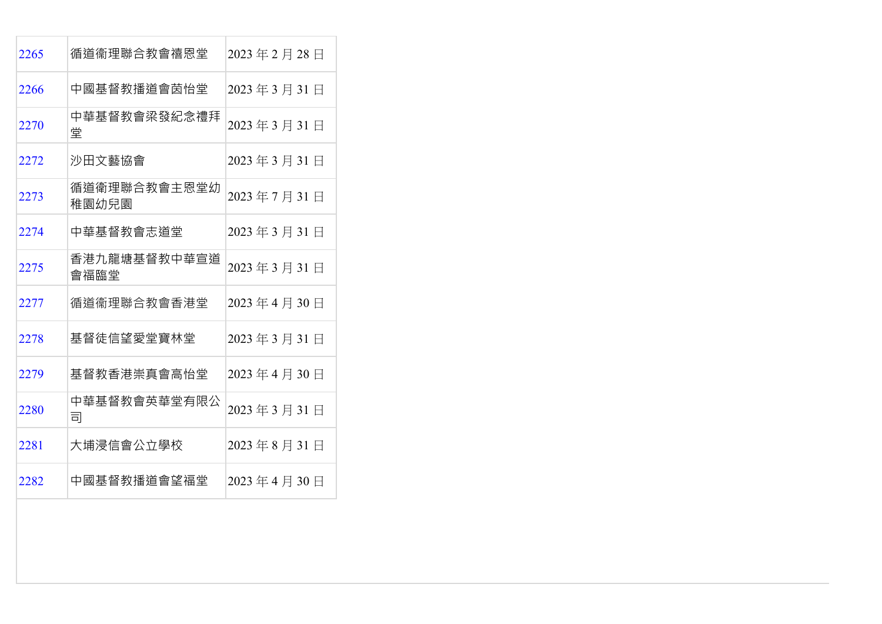| 2265 | 循道衞理聯合教會禧恩堂           | 2023年2月28日 |
|------|-----------------------|------------|
| 2266 | 中國基督教播道會茵怡堂           | 2023年3月31日 |
| 2270 | 中華基督教會梁發紀念禮拜<br>堂     | 2023年3月31日 |
| 2272 | 沙田文藝協會                | 2023年3月31日 |
| 2273 | 循道衛理聯合教會主恩堂幼<br>稚園幼兒園 | 2023年7月31日 |
| 2274 | 中華基督教會志道堂             | 2023年3月31日 |
| 2275 | 香港九龍塘基督教中華宣道<br>會福臨堂  | 2023年3月31日 |
| 2277 | 循道衞理聯合教會香港堂           | 2023年4月30日 |
| 2278 | 基督徒信望愛堂寶林堂            | 2023年3月31日 |
| 2279 | 基督教香港崇真會高怡堂           | 2023年4月30日 |
| 2280 | 中華基督教會英華堂有限公<br>司     | 2023年3月31日 |
| 2281 | 大埔浸信會公立學校             | 2023年8月31日 |
| 2282 | 中國基督教播道會望福堂           | 2023年4月30日 |